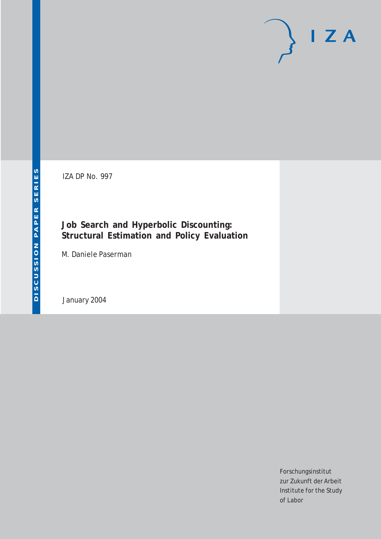# $I Z A$

IZA DP No. 997

## **Job Search and Hyperbolic Discounting: Structural Estimation and Policy Evaluation**

M. Daniele Paserman

January 2004

Forschungsinstitut zur Zukunft der Arbeit Institute for the Study of Labor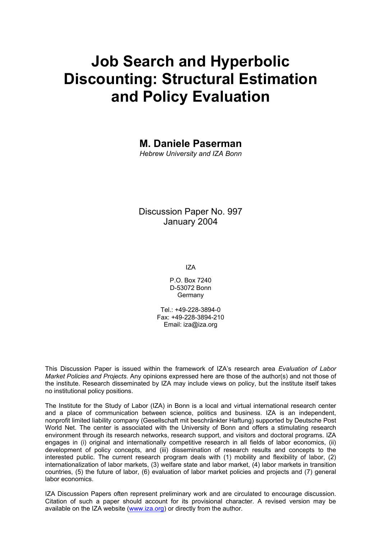# **Job Search and Hyperbolic Discounting: Structural Estimation and Policy Evaluation**

**M. Daniele Paserman** 

*Hebrew University and IZA Bonn* 

Discussion Paper No. 997 January 2004

IZA

P.O. Box 7240 D-53072 Bonn Germany

 $Tel + 49-228-3894-0$ Fax: +49-228-3894-210 Email: [iza@iza.org](mailto:iza@iza.org)

This Discussion Paper is issued within the framework of IZA's research area *Evaluation of Labor Market Policies and Projects.* Any opinions expressed here are those of the author(s) and not those of the institute. Research disseminated by IZA may include views on policy, but the institute itself takes no institutional policy positions.

The Institute for the Study of Labor (IZA) in Bonn is a local and virtual international research center and a place of communication between science, politics and business. IZA is an independent, nonprofit limited liability company (Gesellschaft mit beschränkter Haftung) supported by Deutsche Post World Net. The center is associated with the University of Bonn and offers a stimulating research environment through its research networks, research support, and visitors and doctoral programs. IZA engages in (i) original and internationally competitive research in all fields of labor economics, (ii) development of policy concepts, and (iii) dissemination of research results and concepts to the interested public. The current research program deals with (1) mobility and flexibility of labor, (2) internationalization of labor markets, (3) welfare state and labor market, (4) labor markets in transition countries, (5) the future of labor, (6) evaluation of labor market policies and projects and (7) general labor economics.

IZA Discussion Papers often represent preliminary work and are circulated to encourage discussion. Citation of such a paper should account for its provisional character. A revised version may be available on the IZA website ([www.iza.org](http://www.iza.org/)) or directly from the author.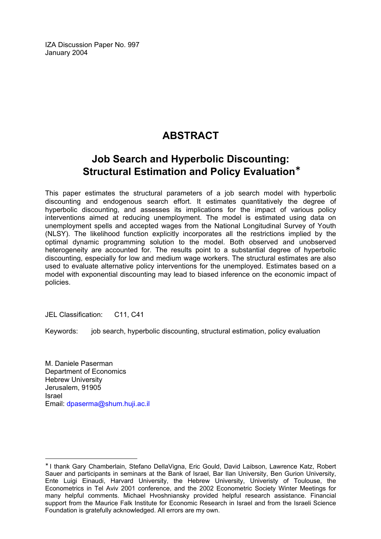IZA Discussion Paper No. 997 January 2004

## **ABSTRACT**

## **Job Search and Hyperbolic Discounting: Structural Estimation and Policy Evaluation**[∗](#page-2-0)

This paper estimates the structural parameters of a job search model with hyperbolic discounting and endogenous search effort. It estimates quantitatively the degree of hyperbolic discounting, and assesses its implications for the impact of various policy interventions aimed at reducing unemployment. The model is estimated using data on unemployment spells and accepted wages from the National Longitudinal Survey of Youth (NLSY). The likelihood function explicitly incorporates all the restrictions implied by the optimal dynamic programming solution to the model. Both observed and unobserved heterogeneity are accounted for. The results point to a substantial degree of hyperbolic discounting, especially for low and medium wage workers. The structural estimates are also used to evaluate alternative policy interventions for the unemployed. Estimates based on a model with exponential discounting may lead to biased inference on the economic impact of policies.

JEL Classification: C11, C41

Keywords: job search, hyperbolic discounting, structural estimation, policy evaluation

M. Daniele Paserman Department of Economics Hebrew University Jerusalem, 91905 Israel Email: [dpaserma@shum.huji.ac.il](mailto:dpaserma@shum.huji.ac.il) 

 $\overline{a}$ 

<span id="page-2-0"></span><sup>∗</sup> I thank Gary Chamberlain, Stefano DellaVigna, Eric Gould, David Laibson, Lawrence Katz, Robert Sauer and participants in seminars at the Bank of Israel, Bar Ilan University, Ben Gurion University, Ente Luigi Einaudi, Harvard University, the Hebrew University, Univeristy of Toulouse, the Econometrics in Tel Aviv 2001 conference, and the 2002 Econometric Society Winter Meetings for many helpful comments. Michael Hvoshniansky provided helpful research assistance. Financial support from the Maurice Falk Institute for Economic Research in Israel and from the Israeli Science Foundation is gratefully acknowledged. All errors are my own.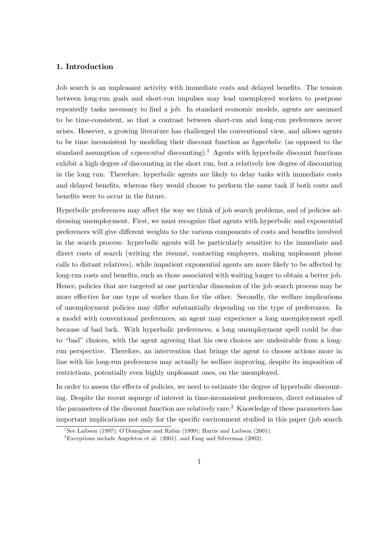#### 1. Introduction

Job search is an unpleasant activity with immediate costs and delayed benefits. The tension between long-run goals and short-run impulses may lead unemployed workers to postpone repeatedly tasks necessary to find a job. In standard economic models, agents are assumed to be time-consistent, so that a contrast between short-run and long-run preferences never arises. However, a growing literature has challenged the conventional view, and allows agents to be time inconsistent by modeling their discount function as hyperbolic (as opposed to the standard assumption of *exponential* discounting).<sup>1</sup> Agents with hyperbolic discount functions exhibit a high degree of discounting in the short run, but a relatively low degree of discounting in the long run. Therefore, hyperbolic agents are likely to delay tasks with immediate costs and delayed benefits, whereas they would choose to perform the same task if both costs and benefits were to occur in the future.

Hyperbolic preferences may affect the way we think of job search problems, and of policies addressing unemployment. First, we must recognize that agents with hyperbolic and exponential preferences will give different weights to the various components of costs and benefits involved in the search process: hyperbolic agents will be particularly sensitive to the immediate and direct costs of search (writing the résumé, contacting employers, making unpleasant phone calls to distant relatives), while impatient exponential agents are more likely to be affected by long-run costs and benefits, such as those associated with waiting longer to obtain a better job. Hence, policies that are targeted at one particular dimension of the job search process may be more effective for one type of worker than for the other. Secondly, the welfare implications of unemployment policies may differ substantially depending on the type of preferences. In a model with conventional preferences, an agent may experience a long unemployment spell because of bad luck. With hyperbolic preferences, a long unemployment spell could be due to "bad" choices, with the agent agreeing that his own choices are undesirable from a longrun perspective. Therefore, an intervention that brings the agent to choose actions more in line with his long-run preferences may actually be welfare improving, despite its imposition of restrictions, potentially even highly unpleasant ones, on the unemployed.

In order to assess the effects of policies, we need to estimate the degree of hyperbolic discounting. Despite the recent uspurge of interest in time-inconsistent preferences, direct estimates of the parameters of the discount function are relatively rare.<sup>2</sup> Knowledge of these parameters has important implications not only for the specific environment studied in this paper (job search

<sup>&</sup>lt;sup>1</sup>See Laibson (1997); O'Donoghue and Rabin (1999); Harris and Laibson (2001).

<sup>&</sup>lt;sup>2</sup>Exceptions include Angeletos et al.  $(2001)$ , and Fang and Silverman  $(2002)$ .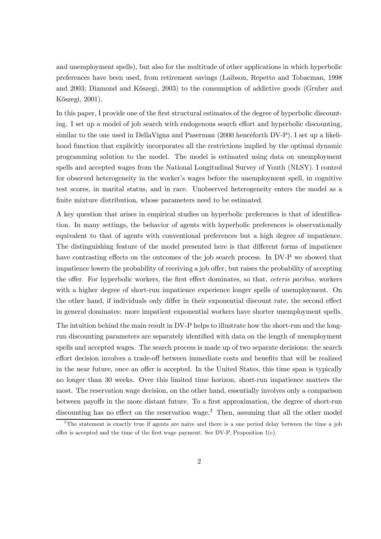and unemployment spells), but also for the multitude of other applications in which hyperbolic preferences have been used, from retirement savings (Laibson, Repetto and Tobacman, 1998 and 2003; Diamond and K˝oszegi, 2003) to the consumption of addictive goods (Gruber and Kőszegi, 2001).

In this paper, I provide one of the first structural estimates of the degree of hyperbolic discounting. I set up a model of job search with endogenous search effort and hyperbolic discounting, similar to the one used in DellaVigna and Paserman (2000 henceforth DV-P). I set up a likelihood function that explicitly incorporates all the restrictions implied by the optimal dynamic programming solution to the model. The model is estimated using data on unemployment spells and accepted wages from the National Longitudinal Survey of Youth (NLSY). I control for observed heterogeneity in the worker's wages before the unemployment spell, in cognitive test scores, in marital status, and in race. Unobserved heterogeneity enters the model as a finite mixture distribution, whose parameters need to be estimated.

A key question that arises in empirical studies on hyperbolic preferences is that of identification. In many settings, the behavior of agents with hyperbolic preferences is observationally equivalent to that of agents with conventional preferences but a high degree of impatience. The distinguishing feature of the model presented here is that different forms of impatience have contrasting effects on the outcomes of the job search process. In DV-P we showed that impatience lowers the probability of receiving a job offer, but raises the probability of accepting the offer. For hyperbolic workers, the first effect dominates, so that, ceteris paribus, workers with a higher degree of short-run impatience experience longer spells of unemployment. On the other hand, if individuals only differ in their exponential discount rate, the second effect in general dominates: more impatient exponential workers have shorter unemployment spells.

The intuition behind the main result in DV-P helps to illustrate how the short-run and the longrun discounting parameters are separately identified with data on the length of unemployment spells and accepted wages. The search process is made up of two separate decisions: the search effort decision involves a trade-off between immediate costs and benefits that will be realized in the near future, once an offer is accepted. In the United States, this time span is typically no longer than 30 weeks. Over this limited time horizon, short-run impatience matters the most. The reservation wage decision, on the other hand, essentially involves only a comparison between payoffs in the more distant future. To a first approximation, the degree of short-run discounting has no effect on the reservation wage.<sup>3</sup> Then, assuming that all the other model

<sup>&</sup>lt;sup>3</sup>The statement is exactly true if agents are naive and there is a one period delay between the time a job offer is accepted and the time of the first wage payment. See DV-P, Proposition  $1(c)$ .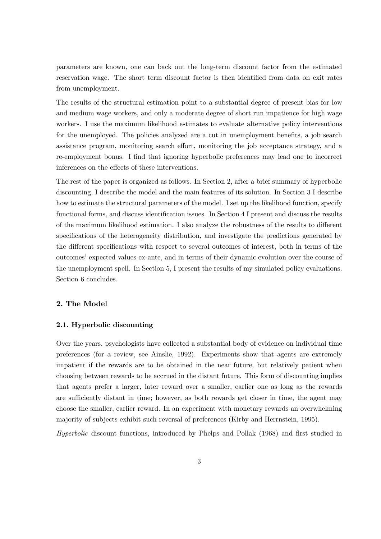parameters are known, one can back out the long-term discount factor from the estimated reservation wage. The short term discount factor is then identified from data on exit rates from unemployment.

The results of the structural estimation point to a substantial degree of present bias for low and medium wage workers, and only a moderate degree of short run impatience for high wage workers. I use the maximum likelihood estimates to evaluate alternative policy interventions for the unemployed. The policies analyzed are a cut in unemployment benefits, a job search assistance program, monitoring search effort, monitoring the job acceptance strategy, and a re-employment bonus. I find that ignoring hyperbolic preferences may lead one to incorrect inferences on the effects of these interventions.

The rest of the paper is organized as follows. In Section 2, after a brief summary of hyperbolic discounting, I describe the model and the main features of its solution. In Section 3 I describe how to estimate the structural parameters of the model. I set up the likelihood function, specify functional forms, and discuss identification issues. In Section 4 I present and discuss the results of the maximum likelihood estimation. I also analyze the robustness of the results to different specifications of the heterogeneity distribution, and investigate the predictions generated by the different specifications with respect to several outcomes of interest, both in terms of the outcomes' expected values ex-ante, and in terms of their dynamic evolution over the course of the unemployment spell. In Section 5, I present the results of my simulated policy evaluations. Section 6 concludes.

#### 2. The Model

#### 2.1. Hyperbolic discounting

Over the years, psychologists have collected a substantial body of evidence on individual time preferences (for a review, see Ainslie, 1992). Experiments show that agents are extremely impatient if the rewards are to be obtained in the near future, but relatively patient when choosing between rewards to be accrued in the distant future. This form of discounting implies that agents prefer a larger, later reward over a smaller, earlier one as long as the rewards are sufficiently distant in time; however, as both rewards get closer in time, the agent may choose the smaller, earlier reward. In an experiment with monetary rewards an overwhelming majority of subjects exhibit such reversal of preferences (Kirby and Herrnstein, 1995).

Hyperbolic discount functions, introduced by Phelps and Pollak (1968) and first studied in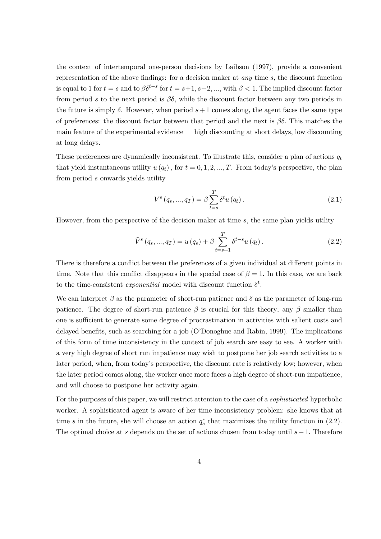the context of intertemporal one-person decisions by Laibson (1997), provide a convenient representation of the above findings: for a decision maker at any time s, the discount function is equal to 1 for  $t = s$  and to  $\beta \delta^{t-s}$  for  $t = s+1, s+2, \dots$ , with  $\beta < 1$ . The implied discount factor from period s to the next period is  $\beta\delta$ , while the discount factor between any two periods in the future is simply  $\delta$ . However, when period  $s+1$  comes along, the agent faces the same type of preferences: the discount factor between that period and the next is  $\beta\delta$ . This matches the main feature of the experimental evidence – high discounting at short delays, low discounting at long delays.

These preferences are dynamically inconsistent. To illustrate this, consider a plan of actions  $q_t$ that yield instantaneous utility  $u(q_t)$ , for  $t = 0, 1, 2, ..., T$ . From today's perspective, the plan from period s onwards yields utility

$$
V^{s}(q_{s},...,q_{T}) = \beta \sum_{t=s}^{T} \delta^{t} u(q_{t}).
$$
\n(2.1)

However, from the perspective of the decision maker at time s, the same plan yields utility

$$
\tilde{V}^{s}(q_{s},...,q_{T}) = u(q_{s}) + \beta \sum_{t=s+1}^{T} \delta^{t-s} u(q_{t}).
$$
\n(2.2)

There is therefore a conflict between the preferences of a given individual at different points in time. Note that this conflict disappears in the special case of  $\beta = 1$ . In this case, we are back to the time-consistent *exponential* model with discount function  $\delta^t$ .

We can interpret  $\beta$  as the parameter of short-run patience and  $\delta$  as the parameter of long-run patience. The degree of short-run patience  $\beta$  is crucial for this theory; any  $\beta$  smaller than one is sufficient to generate some degree of procrastination in activities with salient costs and delayed benefits, such as searching for a job (O'Donoghue and Rabin, 1999). The implications of this form of time inconsistency in the context of job search are easy to see. A worker with a very high degree of short run impatience may wish to postpone her job search activities to a later period, when, from today's perspective, the discount rate is relatively low; however, when the later period comes along, the worker once more faces a high degree of short-run impatience, and will choose to postpone her activity again.

For the purposes of this paper, we will restrict attention to the case of a *sophisticated* hyperbolic worker. A sophisticated agent is aware of her time inconsistency problem: she knows that at time s in the future, she will choose an action  $q_s^*$  that maximizes the utility function in (2.2). The optimal choice at s depends on the set of actions chosen from today until  $s - 1$ . Therefore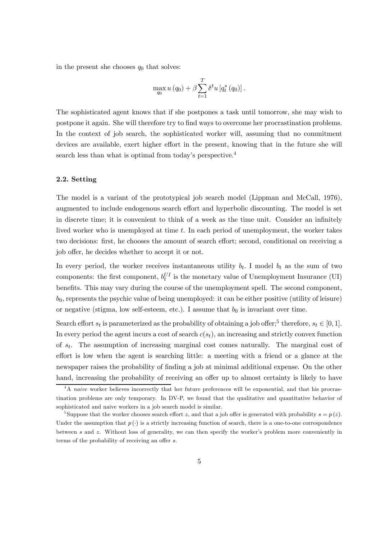in the present she chooses  $q_0$  that solves:

$$
\max_{q_0} u(q_0) + \beta \sum_{t=1}^T \delta^t u [q_t^*(q_0)].
$$

The sophisticated agent knows that if she postpones a task until tomorrow, she may wish to postpone it again. She will therefore try to find ways to overcome her procrastination problems. In the context of job search, the sophisticated worker will, assuming that no commitment devices are available, exert higher effort in the present, knowing that in the future she will search less than what is optimal from today's perspective.4

#### 2.2. Setting

The model is a variant of the prototypical job search model (Lippman and McCall, 1976), augmented to include endogenous search effort and hyperbolic discounting. The model is set in discrete time; it is convenient to think of a week as the time unit. Consider an infinitely lived worker who is unemployed at time t. In each period of unemployment, the worker takes two decisions: first, he chooses the amount of search effort; second, conditional on receiving a job offer, he decides whether to accept it or not.

In every period, the worker receives instantaneous utility  $b_t$ . I model  $b_t$  as the sum of two components: the first component,  $b_t^{UI}$  is the monetary value of Unemployment Insurance (UI) benefits. This may vary during the course of the unemployment spell. The second component,  $b_0$ , represents the psychic value of being unemployed: it can be either positive (utility of leisure) or negative (stigma, low self-esteem, etc.). I assume that  $b_0$  is invariant over time.

Search effort  $s_t$  is parameterized as the probability of obtaining a job offer;<sup>5</sup> therefore,  $s_t \in [0, 1]$ . In every period the agent incurs a cost of search  $c(s_t)$ , an increasing and strictly convex function of  $s_t$ . The assumption of increasing marginal cost comes naturally. The marginal cost of effort is low when the agent is searching little: a meeting with a friend or a glance at the newspaper raises the probability of finding a job at minimal additional expense. On the other hand, increasing the probability of receiving an offer up to almost certainty is likely to have

 $4A$  naive worker believes incorrectly that her future preferences will be exponential, and that his procrastination problems are only temporary. In DV-P, we found that the qualitative and quantitative behavior of sophisticated and naive workers in a job search model is similar.

<sup>&</sup>lt;sup>5</sup>Suppose that the worker chooses search effort z, and that a job offer is generated with probability  $s = p(z)$ . Under the assumption that  $p(\cdot)$  is a strictly increasing function of search, there is a one-to-one correspondence between s and z. Without loss of generality, we can then specify the worker's problem more conveniently in terms of the probability of receiving an offer s.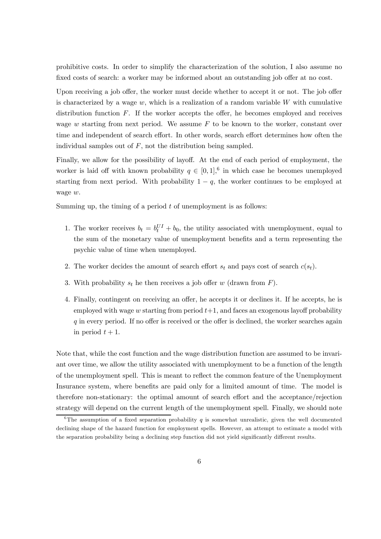prohibitive costs. In order to simplify the characterization of the solution, I also assume no fixed costs of search: a worker may be informed about an outstanding job offer at no cost.

Upon receiving a job offer, the worker must decide whether to accept it or not. The job offer is characterized by a wage  $w$ , which is a realization of a random variable  $W$  with cumulative distribution function  $F$ . If the worker accepts the offer, he becomes employed and receives wage  $w$  starting from next period. We assume  $F$  to be known to the worker, constant over time and independent of search effort. In other words, search effort determines how often the individual samples out of  $F$ , not the distribution being sampled.

Finally, we allow for the possibility of layoff. At the end of each period of employment, the worker is laid off with known probability  $q \in [0,1],$ <sup>6</sup> in which case he becomes unemployed starting from next period. With probability  $1 - q$ , the worker continues to be employed at wage w.

Summing up, the timing of a period  $t$  of unemployment is as follows:

- 1. The worker receives  $b_t = b_t^{UI} + b_0$ , the utility associated with unemployment, equal to the sum of the monetary value of unemployment benefits and a term representing the psychic value of time when unemployed.
- 2. The worker decides the amount of search effort  $s_t$  and pays cost of search  $c(s_t)$ .
- 3. With probability  $s_t$  he then receives a job offer w (drawn from  $F$ ).
- 4. Finally, contingent on receiving an offer, he accepts it or declines it. If he accepts, he is employed with wage  $w$  starting from period  $t+1$ , and faces an exogenous layoff probability q in every period. If no offer is received or the offer is declined, the worker searches again in period  $t + 1$ .

Note that, while the cost function and the wage distribution function are assumed to be invariant over time, we allow the utility associated with unemployment to be a function of the length of the unemployment spell. This is meant to reflect the common feature of the Unemployment Insurance system, where benefits are paid only for a limited amount of time. The model is therefore non-stationary: the optimal amount of search effort and the acceptance/rejection strategy will depend on the current length of the unemployment spell. Finally, we should note

<sup>&</sup>lt;sup>6</sup>The assumption of a fixed separation probability  $q$  is somewhat unrealistic, given the well documented declining shape of the hazard function for employment spells. However, an attempt to estimate a model with the separation probability being a declining step function did not yield significantly different results.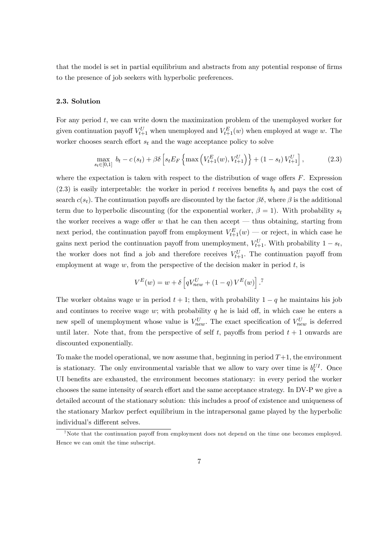that the model is set in partial equilibrium and abstracts from any potential response of firms to the presence of job seekers with hyperbolic preferences.

#### 2.3. Solution

For any period t, we can write down the maximization problem of the unemployed worker for given continuation payoff  $V_{t+1}^U$  when unemployed and  $V_{t+1}^E(w)$  when employed at wage w. The worker chooses search effort  $s_t$  and the wage acceptance policy to solve

$$
\max_{s_t \in [0,1]} b_t - c(s_t) + \beta \delta \left[ s_t E_F \left\{ \max \left( V_{t+1}^E(w), V_{t+1}^U \right) \right\} + (1 - s_t) V_{t+1}^U \right],\tag{2.3}
$$

where the expectation is taken with respect to the distribution of wage offers  $F$ . Expression  $(2.3)$  is easily interpretable: the worker in period t receives benefits  $b_t$  and pays the cost of search  $c(s_t)$ . The continuation payoffs are discounted by the factor  $\beta\delta$ , where  $\beta$  is the additional term due to hyperbolic discounting (for the exponential worker,  $\beta = 1$ ). With probability st the worker receives a wage offer  $w$  that he can then accept  $-$  thus obtaining, starting from next period, the continuation payoff from employment  $V_{t+1}^{E}(w)$  — or reject, in which case he gains next period the continuation payoff from unemployment,  $V_{t+1}^U$ . With probability  $1 - s_t$ , the worker does not find a job and therefore receives  $V_{t+1}^U$ . The continuation payoff from employment at wage  $w$ , from the perspective of the decision maker in period  $t$ , is

$$
V^{E}(w) = w + \delta \left[ qV_{new}^{U} + (1 - q) V^{E}(w) \right].^{7}
$$

The worker obtains wage w in period  $t + 1$ ; then, with probability  $1 - q$  he maintains his job and continues to receive wage  $w$ ; with probability  $q$  he is laid off, in which case he enters a new spell of unemployment whose value is  $V_{new}^U$ . The exact specification of  $V_{new}^U$  is deferred until later. Note that, from the perspective of self t, payoffs from period  $t + 1$  onwards are discounted exponentially.

To make the model operational, we now assume that, beginning in period  $T+1$ , the environment is stationary. The only environmental variable that we allow to vary over time is  $b_t^{UI}$ . Once UI benefits are exhausted, the environment becomes stationary: in every period the worker chooses the same intensity of search effort and the same acceptance strategy. In DV-P we give a detailed account of the stationary solution: this includes a proof of existence and uniqueness of the stationary Markov perfect equilibrium in the intrapersonal game played by the hyperbolic individual's different selves.

<sup>&</sup>lt;sup>7</sup>Note that the continuation payoff from employment does not depend on the time one becomes employed. Hence we can omit the time subscript.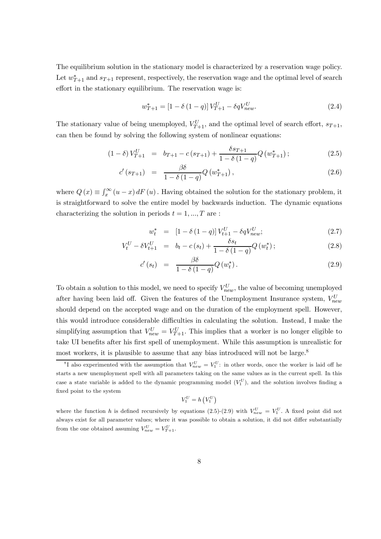The equilibrium solution in the stationary model is characterized by a reservation wage policy. Let  $w_{T+1}^*$  and  $s_{T+1}$  represent, respectively, the reservation wage and the optimal level of search effort in the stationary equilibrium. The reservation wage is:

$$
w_{T+1}^* = [1 - \delta (1 - q)] V_{T+1}^U - \delta q V_{new}^U.
$$
\n(2.4)

The stationary value of being unemployed,  $V_{T+1}^U$ , and the optimal level of search effort,  $s_{T+1}$ , can then be found by solving the following system of nonlinear equations:

$$
(1 - \delta) V_{T+1}^{U} = b_{T+1} - c(s_{T+1}) + \frac{\delta s_{T+1}}{1 - \delta (1 - q)} Q(w_{T+1}^{*});
$$
\n(2.5)

$$
c'(s_{T+1}) = \frac{\beta \delta}{1 - \delta (1 - q)} Q(w_{T+1}^*), \qquad (2.6)
$$

where  $Q(x) \equiv \int_x^{\infty} (u - x) dF(u)$ . Having obtained the solution for the stationary problem, it is straightforward to solve the entire model by backwards induction. The dynamic equations characterizing the solution in periods  $t = 1, ..., T$  are :

$$
w_t^* = [1 - \delta (1 - q)] V_{t+1}^U - \delta q V_{new}^U; \qquad (2.7)
$$

$$
V_t^U - \delta V_{t+1}^U = b_t - c(s_t) + \frac{\delta s_t}{1 - \delta(1 - q)} Q(w_t^*); \qquad (2.8)
$$

$$
c'(s_t) = \frac{\beta \delta}{1 - \delta (1 - q)} Q(w_t^*).
$$
\n(2.9)

To obtain a solution to this model, we need to specify  $V_{new}^U$ , the value of becoming unemployed after having been laid off. Given the features of the Unemployment Insurance system,  $V_{new}^{U}$ should depend on the accepted wage and on the duration of the employment spell. However, this would introduce considerable difficulties in calculating the solution. Instead, I make the simplifying assumption that  $V_{new}^U = V_{T+1}^U$ . This implies that a worker is no longer eligible to take UI benefits after his first spell of unemployment. While this assumption is unrealistic for most workers, it is plausible to assume that any bias introduced will not be large.<sup>8</sup>

$$
V_1^U = h\left(V_1^U\right)
$$

<sup>&</sup>lt;sup>8</sup>I also experimented with the assumption that  $V_{new}^U = V_1^U$ : in other words, once the worker is laid off he starts a new unemployment spell with all parameters taking on the same values as in the current spell. In this case a state variable is added to the dynamic programming model  $(V_1^U)$ , and the solution involves finding a fixed point to the system

where the function h is defined recursively by equations (2.5)-(2.9) with  $V_{new}^U = V_1^U$ . A fixed point did not always exist for all parameter values; where it was possible to obtain a solution, it did not differ substantially from the one obtained assuming  $V_{new}^U = V_{T+1}^U$ .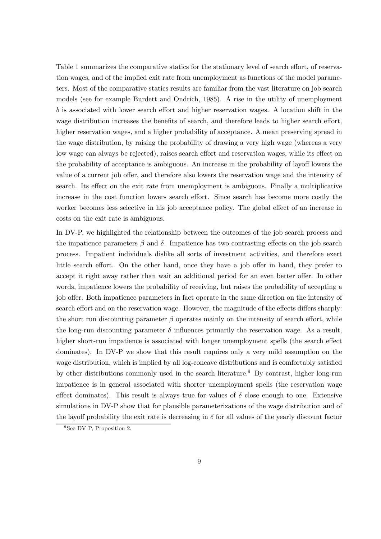Table 1 summarizes the comparative statics for the stationary level of search effort, of reservation wages, and of the implied exit rate from unemployment as functions of the model parameters. Most of the comparative statics results are familiar from the vast literature on job search models (see for example Burdett and Ondrich, 1985). A rise in the utility of unemployment b is associated with lower search effort and higher reservation wages. A location shift in the wage distribution increases the benefits of search, and therefore leads to higher search effort, higher reservation wages, and a higher probability of acceptance. A mean preserving spread in the wage distribution, by raising the probability of drawing a very high wage (whereas a very low wage can always be rejected), raises search effort and reservation wages, while its effect on the probability of acceptance is ambiguous. An increase in the probability of layoff lowers the value of a current job offer, and therefore also lowers the reservation wage and the intensity of search. Its effect on the exit rate from unemployment is ambiguous. Finally a multiplicative increase in the cost function lowers search effort. Since search has become more costly the worker becomes less selective in his job acceptance policy. The global effect of an increase in costs on the exit rate is ambiguous.

In DV-P, we highlighted the relationship between the outcomes of the job search process and the impatience parameters  $\beta$  and  $\delta$ . Impatience has two contrasting effects on the job search process. Impatient individuals dislike all sorts of investment activities, and therefore exert little search effort. On the other hand, once they have a job offer in hand, they prefer to accept it right away rather than wait an additional period for an even better offer. In other words, impatience lowers the probability of receiving, but raises the probability of accepting a job offer. Both impatience parameters in fact operate in the same direction on the intensity of search effort and on the reservation wage. However, the magnitude of the effects differs sharply: the short run discounting parameter  $\beta$  operates mainly on the intensity of search effort, while the long-run discounting parameter  $\delta$  influences primarily the reservation wage. As a result, higher short-run impatience is associated with longer unemployment spells (the search effect dominates). In DV-P we show that this result requires only a very mild assumption on the wage distribution, which is implied by all log-concave distributions and is comfortably satisfied by other distributions commonly used in the search literature.<sup>9</sup> By contrast, higher long-run impatience is in general associated with shorter unemployment spells (the reservation wage effect dominates). This result is always true for values of  $\delta$  close enough to one. Extensive simulations in DV-P show that for plausible parameterizations of the wage distribution and of the layoff probability the exit rate is decreasing in  $\delta$  for all values of the yearly discount factor

<sup>&</sup>lt;sup>9</sup>See DV-P, Proposition 2.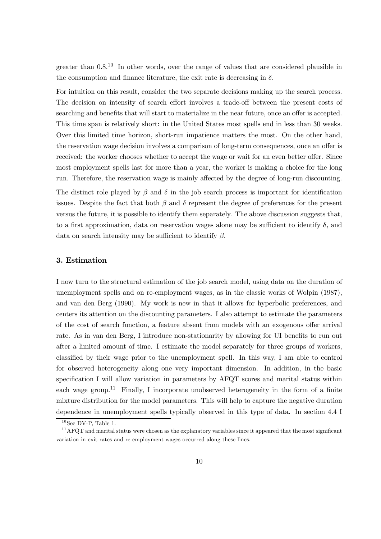greater than  $0.8^{10}$  In other words, over the range of values that are considered plausible in the consumption and finance literature, the exit rate is decreasing in  $\delta$ .

For intuition on this result, consider the two separate decisions making up the search process. The decision on intensity of search effort involves a trade-off between the present costs of searching and benefits that will start to materialize in the near future, once an offer is accepted. This time span is relatively short: in the United States most spells end in less than 30 weeks. Over this limited time horizon, short-run impatience matters the most. On the other hand, the reservation wage decision involves a comparison of long-term consequences, once an offer is received: the worker chooses whether to accept the wage or wait for an even better offer. Since most employment spells last for more than a year, the worker is making a choice for the long run. Therefore, the reservation wage is mainly affected by the degree of long-run discounting.

The distinct role played by  $\beta$  and  $\delta$  in the job search process is important for identification issues. Despite the fact that both  $\beta$  and  $\delta$  represent the degree of preferences for the present versus the future, it is possible to identify them separately. The above discussion suggests that, to a first approximation, data on reservation wages alone may be sufficient to identify  $\delta$ , and data on search intensity may be sufficient to identify  $\beta$ .

#### 3. Estimation

I now turn to the structural estimation of the job search model, using data on the duration of unemployment spells and on re-employment wages, as in the classic works of Wolpin (1987), and van den Berg (1990). My work is new in that it allows for hyperbolic preferences, and centers its attention on the discounting parameters. I also attempt to estimate the parameters of the cost of search function, a feature absent from models with an exogenous offer arrival rate. As in van den Berg, I introduce non-stationarity by allowing for UI benefits to run out after a limited amount of time. I estimate the model separately for three groups of workers, classified by their wage prior to the unemployment spell. In this way, I am able to control for observed heterogeneity along one very important dimension. In addition, in the basic specification I will allow variation in parameters by AFQT scores and marital status within each wage group.<sup>11</sup> Finally, I incorporate unobserved heterogeneity in the form of a finite mixture distribution for the model parameters. This will help to capture the negative duration dependence in unemployment spells typically observed in this type of data. In section 4.4 I

 $10$ See DV-P, Table 1.

<sup>&</sup>lt;sup>11</sup> AFQT and marital status were chosen as the explanatory variables since it appeared that the most significant variation in exit rates and re-employment wages occurred along these lines.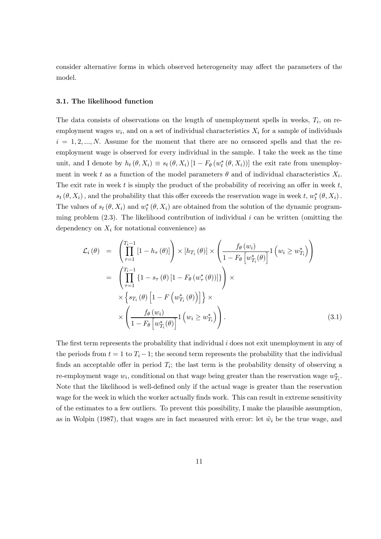consider alternative forms in which observed heterogeneity may affect the parameters of the model.

#### 3.1. The likelihood function

The data consists of observations on the length of unemployment spells in weeks,  $T_i$ , on reemployment wages  $w_i$ , and on a set of individual characteristics  $X_i$  for a sample of individuals  $i = 1, 2, ..., N$ . Assume for the moment that there are no censored spells and that the reemployment wage is observed for every individual in the sample. I take the week as the time unit, and I denote by  $h_t(\theta, X_i) \equiv s_t(\theta, X_i) [1 - F_{\theta}(w_t^*(\theta, X_i))]$  the exit rate from unemployment in week t as a function of the model parameters  $\theta$  and of individual characteristics  $X_i$ . The exit rate in week  $t$  is simply the product of the probability of receiving an offer in week  $t$ ,  $s_t(\theta, X_i)$ , and the probability that this offer exceeds the reservation wage in week t,  $w_t^*(\theta, X_i)$ . The values of  $s_t(\theta, X_i)$  and  $w_t^*(\theta, X_i)$  are obtained from the solution of the dynamic programming problem  $(2.3)$ . The likelihood contribution of individual i can be written (omitting the dependency on  $X_i$  for notational convenience) as

$$
\mathcal{L}_{i}(\theta) = \left(\prod_{\tau=1}^{T_{i}-1} [1-h_{\tau}(\theta)]\right) \times [h_{T_{i}}(\theta)] \times \left(\frac{f_{\theta}(w_{i})}{1-F_{\theta}\left[w_{T_{i}}^{*}(\theta)\right]}1\left(w_{i} \ge w_{T_{i}}^{*}\right)\right)
$$
\n
$$
= \left(\prod_{\tau=1}^{T_{i}-1} \{1-s_{\tau}(\theta) [1-F_{\theta}(w_{\tau}^{*}(\theta))]\}\right) \times
$$
\n
$$
\times \left\{s_{T_{i}}(\theta) [1-F\left(w_{T_{i}}^{*}(\theta)\right)]\right\} \times
$$
\n
$$
\times \left(\frac{f_{\theta}(w_{i})}{1-F_{\theta}\left[w_{T_{i}}^{*}(\theta)\right]}1\left(w_{i} \ge w_{T_{i}}^{*}\right)\right).
$$
\n(3.1)

The first term represents the probability that individual i does not exit unemployment in any of the periods from  $t = 1$  to  $T_i - 1$ ; the second term represents the probability that the individual finds an acceptable offer in period  $T_i$ ; the last term is the probability density of observing a re-employment wage  $w_i$ , conditional on that wage being greater than the reservation wage  $w_{T_i}^*$ . Note that the likelihood is well-defined only if the actual wage is greater than the reservation wage for the week in which the worker actually finds work. This can result in extreme sensitivity of the estimates to a few outliers. To prevent this possibility, I make the plausible assumption, as in Wolpin (1987), that wages are in fact measured with error: let  $\tilde{w}_i$  be the true wage, and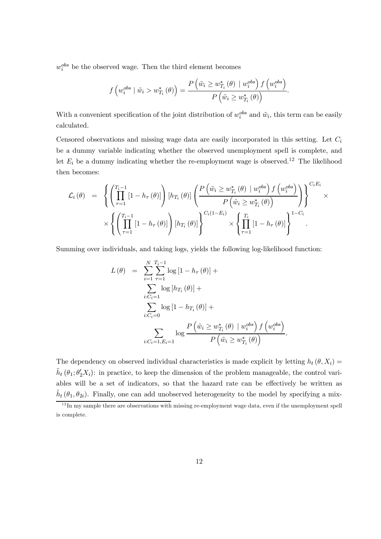$w_i^{obs}$  be the observed wage. Then the third element becomes

$$
f\left(w_i^{obs} \mid \tilde{w}_i > w_{T_i}^*\left(\theta\right)\right) = \frac{P\left(\tilde{w}_i \geq w_{T_i}^*\left(\theta\right) \mid w_i^{obs}\right) f\left(w_i^{obs}\right)}{P\left(\tilde{w}_i \geq w_{T_i}^*\left(\theta\right)\right)}.
$$

With a convenient specification of the joint distribution of  $w_i^{obs}$  and  $\tilde{w}_i$ , this term can be easily calculated.

Censored observations and missing wage data are easily incorporated in this setting. Let  $C_i$ be a dummy variable indicating whether the observed unemployment spell is complete, and let  $E_i$  be a dummy indicating whether the re-employment wage is observed.<sup>12</sup> The likelihood then becomes:

$$
\mathcal{L}_{i}(\theta) = \left\{ \left( \prod_{\tau=1}^{T_{i}-1} \left[ 1 - h_{\tau}(\theta) \right] \right) \left[ h_{T_{i}}(\theta) \right] \left( \frac{P\left( \tilde{w}_{i} \geq w_{T_{i}}^{*}(\theta) \mid w_{i}^{obs} \right) f\left( w_{i}^{obs} \right)}{P\left( \tilde{w}_{i} \geq w_{T_{i}}^{*}(\theta) \right)} \right) \right\}^{C_{i}E_{i}} \times \left\{ \left( \prod_{\tau=1}^{T_{i}-1} \left[ 1 - h_{\tau}(\theta) \right] \right) \left[ h_{T_{i}}(\theta) \right] \right\}^{C_{i}(1-E_{i})} \times \left\{ \prod_{\tau=1}^{T_{i}} \left[ 1 - h_{\tau}(\theta) \right] \right\}^{1-C_{i}}.
$$

Summing over individuals, and taking logs, yields the following log-likelihood function:

$$
L(\theta) = \sum_{i=1}^{N} \sum_{\tau=1}^{T_i - 1} \log [1 - h_{\tau}(\theta)] +
$$
  

$$
\sum_{i:C_i=1} \log [h_{T_i}(\theta)] +
$$
  

$$
\sum_{i:C_i=0} \log [1 - h_{T_i}(\theta)] +
$$
  

$$
\sum_{i:C_i=1, E_i=1} \log \frac{P(\tilde{w}_i \ge w_{T_i}^*(\theta) | w_i^{obs}) f(w_i^{obs})}{P(\tilde{w}_i \ge w_{T_i}^*(\theta))}.
$$

The dependency on observed individual characteristics is made explicit by letting  $h_t(\theta, X_i) =$  $\tilde{h}_t(\theta_1;\theta_2'X_i)$ : in practice, to keep the dimension of the problem manageable, the control variables will be a set of indicators, so that the hazard rate can be effectively be written as  $h_t(\theta_1, \theta_{2i})$ . Finally, one can add unobserved heterogeneity to the model by specifying a mix-

 $1<sup>12</sup>$  In my sample there are observations with missing re-employment wage data, even if the unemployment spell is complete.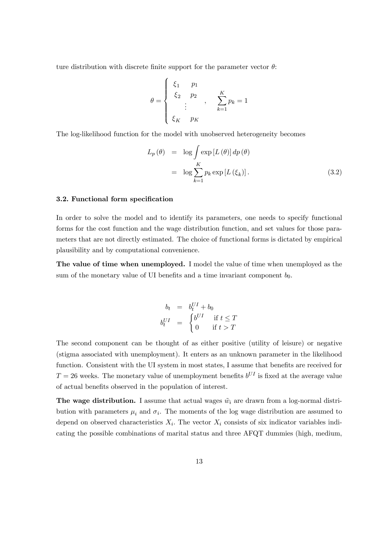ture distribution with discrete finite support for the parameter vector  $\theta$ :

$$
\theta = \begin{cases}\n\xi_1 & p_1 \\
\xi_2 & p_2 \\
\vdots & \xi_{K} \\
\xi_K & p_K\n\end{cases}, \quad \sum_{k=1}^{K} p_k = 1
$$

The log-likelihood function for the model with unobserved heterogeneity becomes

$$
L_p(\theta) = \log \int \exp [L(\theta)] dp(\theta)
$$
  
=  $\log \sum_{k=1}^{K} p_k \exp [L(\xi_k)].$  (3.2)

#### 3.2. Functional form specification

In order to solve the model and to identify its parameters, one needs to specify functional forms for the cost function and the wage distribution function, and set values for those parameters that are not directly estimated. The choice of functional forms is dictated by empirical plausibility and by computational convenience.

The value of time when unemployed. I model the value of time when unemployed as the sum of the monetary value of UI benefits and a time invariant component  $b_0$ .

$$
b_t = b_t^{UI} + b_0
$$
  
\n
$$
b_t^{UI} = \begin{cases} b^{UI} & \text{if } t \le T \\ 0 & \text{if } t > T \end{cases}
$$

The second component can be thought of as either positive (utility of leisure) or negative (stigma associated with unemployment). It enters as an unknown parameter in the likelihood function. Consistent with the UI system in most states, I assume that benefits are received for  $T = 26$  weeks. The monetary value of unemployment benefits  $b^{UI}$  is fixed at the average value of actual benefits observed in the population of interest.

**The wage distribution.** I assume that actual wages  $\tilde{w}_i$  are drawn from a log-normal distribution with parameters  $\mu_i$  and  $\sigma_i$ . The moments of the log wage distribution are assumed to depend on observed characteristics  $X_i$ . The vector  $X_i$  consists of six indicator variables indicating the possible combinations of marital status and three AFQT dummies (high, medium,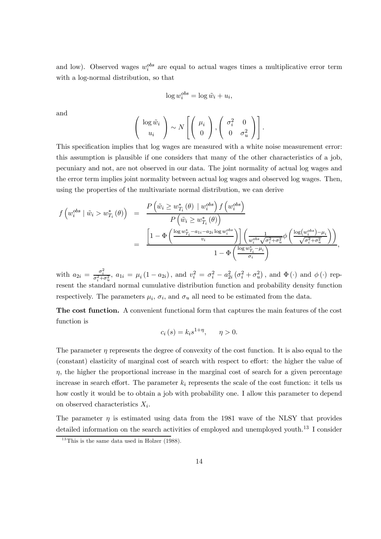and low). Observed wages  $w_i^{obs}$  are equal to actual wages times a multiplicative error term with a log-normal distribution, so that

$$
\log w_i^{obs} = \log \tilde{w}_i + u_i,
$$

and

$$
\left(\begin{array}{c}\log \tilde{w}_i \\ u_i\end{array}\right) \sim N\left[\left(\begin{array}{c}\mu_i \\ 0\end{array}\right), \left(\begin{array}{cc}\sigma_i^2 & 0 \\ 0 & \sigma_u^2\end{array}\right)\right].
$$

This specification implies that log wages are measured with a white noise measurement error: this assumption is plausible if one considers that many of the other characteristics of a job, pecuniary and not, are not observed in our data. The joint normality of actual log wages and the error term implies joint normality between actual log wages and observed log wages. Then, using the properties of the multivariate normal distribution, we can derive

$$
f\left(w_i^{obs} \mid \tilde{w}_i > w_{T_i}^*\left(\theta\right)\right) = \frac{P\left(\tilde{w}_i \ge w_{T_i}^*\left(\theta\right) \mid w_i^{obs}\right) f\left(w_i^{obs}\right)}{P\left(\tilde{w}_i \ge w_{T_i}^*\left(\theta\right)\right)}
$$
  

$$
= \frac{\left[1 - \Phi\left(\frac{\log w_{T_i}^*-a_{1i}-a_{2i}\log w_i^{obs}}{v_i}\right)\right] \left(\frac{1}{w_i^{obs}\sqrt{\sigma_i^2+\sigma_u^2}}\phi\left(\frac{\log(w_i^{obs})-\mu_i}{\sqrt{\sigma_i^2+\sigma_u^2}}\right)\right)}{1 - \Phi\left(\frac{\log w_{T_i}^*-\mu_i}{\sigma_i}\right)},
$$

with  $a_{2i} = \frac{\sigma_i^2}{\sigma_i^2 + \sigma_u^2}$ ,  $a_{1i} = \mu_i (1 - a_{2i})$ , and  $v_i^2 = \sigma_i^2 - a_{2i}^2 (\sigma_i^2 + \sigma_u^2)$ , and  $\Phi(\cdot)$  and  $\phi(\cdot)$  represent the standard normal cumulative distribution function and probability density function respectively. The parameters  $\mu_i$ ,  $\sigma_i$ , and  $\sigma_u$  all need to be estimated from the data.

The cost function. A convenient functional form that captures the main features of the cost function is

$$
c_i(s) = k_i s^{1+\eta}, \qquad \eta > 0.
$$

The parameter  $\eta$  represents the degree of convexity of the cost function. It is also equal to the (constant) elasticity of marginal cost of search with respect to effort: the higher the value of  $\eta$ , the higher the proportional increase in the marginal cost of search for a given percentage increase in search effort. The parameter  $k_i$  represents the scale of the cost function: it tells us how costly it would be to obtain a job with probability one. I allow this parameter to depend on observed characteristics  $X_i$ .

The parameter  $\eta$  is estimated using data from the 1981 wave of the NLSY that provides detailed information on the search activities of employed and unemployed youth.<sup>13</sup> I consider

 $13$ This is the same data used in Holzer (1988).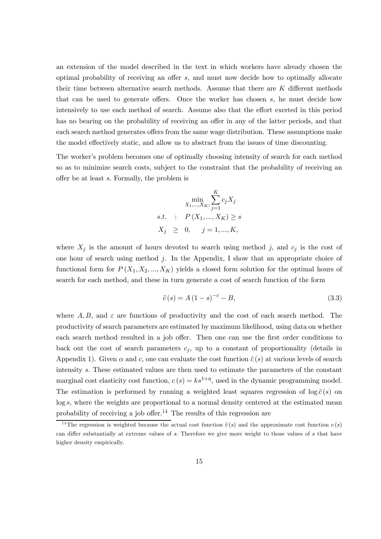an extension of the model described in the text in which workers have already chosen the optimal probability of receiving an offer s, and must now decide how to optimally allocate their time between alternative search methods. Assume that there are K different methods that can be used to generate offers. Once the worker has chosen s, he must decide how intensively to use each method of search. Assume also that the effort exerted in this period has no bearing on the probability of receiving an offer in any of the latter periods, and that each search method generates offers from the same wage distribution. These assumptions make the model effectively static, and allow us to abstract from the issues of time discounting.

The worker's problem becomes one of optimally choosing intensity of search for each method so as to minimize search costs, subject to the constraint that the probability of receiving an offer be at least s. Formally, the problem is

$$
\min_{X_1, ..., X_K;} \sum_{j=1}^{K} c_j X_j
$$
  
s.t. :  $P(X_1, ..., X_K) \ge s$   
 $X_j \ge 0, \quad j = 1, ..., K,$ 

where  $X_j$  is the amount of hours devoted to search using method j, and  $c_j$  is the cost of one hour of search using method j. In the Appendix, I show that an appropriate choice of functional form for  $P(X_1, X_2, ..., X_K)$  yields a closed form solution for the optimal hours of search for each method, and these in turn generate a cost of search function of the form

$$
\tilde{c}(s) = A(1-s)^{-\varepsilon} - B,\tag{3.3}
$$

where  $A, B$ , and  $\varepsilon$  are functions of productivity and the cost of each search method. The productivity of search parameters are estimated by maximum likelihood, using data on whether each search method resulted in a job offer. Then one can use the first order conditions to back out the cost of search parameters  $c_j$ , up to a constant of proportionality (details in Appendix 1). Given  $\alpha$  and c, one can evaluate the cost function  $\tilde{c}(s)$  at various levels of search intensity s. These estimated values are then used to estimate the parameters of the constant marginal cost elasticity cost function,  $c(s) = ks^{1+\eta}$ , used in the dynamic programming model. The estimation is performed by running a weighted least squares regression of  $\log \tilde{c}(s)$  on log s, where the weights are proportional to a normal density centered at the estimated mean probability of receiving a job offer.<sup>14</sup> The results of this regression are

<sup>&</sup>lt;sup>14</sup>The regression is weighted because the actual cost function  $\tilde{c}(s)$  and the approximate cost function  $c(s)$ can differ substantially at extreme values of s. Therefore we give more weight to those values of s that have higher density empirically.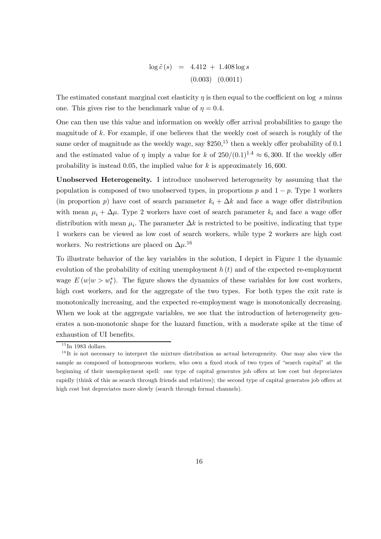$$
\log \tilde{c}(s) = 4.412 + 1.408 \log s
$$
  
(0.003) (0.0011)

The estimated constant marginal cost elasticity  $\eta$  is then equal to the coefficient on log s minus one. This gives rise to the benchmark value of  $\eta = 0.4$ .

One can then use this value and information on weekly offer arrival probabilities to gauge the magnitude of k. For example, if one believes that the weekly cost of search is roughly of the same order of magnitude as the weekly wage, say  $$250<sup>15</sup>$  then a weekly offer probability of 0.1 and the estimated value of  $\eta$  imply a value for k of  $250/(0.1)^{1.4} \approx 6,300$ . If the weekly offer probability is instead 0.05, the implied value for  $k$  is approximately 16,600.

Unobserved Heterogeneity. I introduce unobserved heterogeneity by assuming that the population is composed of two unobserved types, in proportions p and  $1 - p$ . Type 1 workers (in proportion p) have cost of search parameter  $k_i + \Delta k$  and face a wage offer distribution with mean  $\mu_i + \Delta \mu$ . Type 2 workers have cost of search parameter  $k_i$  and face a wage offer distribution with mean  $\mu_i$ . The parameter  $\Delta k$  is restricted to be positive, indicating that type 1 workers can be viewed as low cost of search workers, while type 2 workers are high cost workers. No restrictions are placed on  $\Delta \mu$ <sup>16</sup>

To illustrate behavior of the key variables in the solution, I depict in Figure 1 the dynamic evolution of the probability of exiting unemployment  $h(t)$  and of the expected re-employment wage  $E(w|w>w_t^*)$ . The figure shows the dynamics of these variables for low cost workers, high cost workers, and for the aggregate of the two types. For both types the exit rate is monotonically increasing, and the expected re-employment wage is monotonically decreasing. When we look at the aggregate variables, we see that the introduction of heterogeneity generates a non-monotonic shape for the hazard function, with a moderate spike at the time of exhaustion of UI benefits.

 $\overline{^{15}}$ In 1983 dollars.

 $16$ It is not necessary to interpret the mixture distribution as actual heterogeneity. One may also view the sample as composed of homogeneous workers, who own a fixed stock of two types of "search capital" at the beginning of their unemployment spell: one type of capital generates job offers at low cost but depreciates rapidly (think of this as search through friends and relatives); the second type of capital generates job offers at high cost but depreciates more slowly (search through formal channels).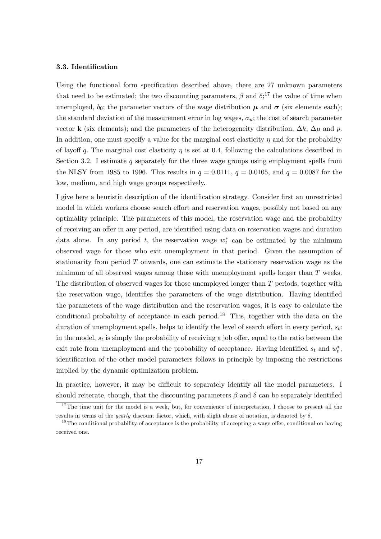#### 3.3. Identification

Using the functional form specification described above, there are 27 unknown parameters that need to be estimated; the two discounting parameters,  $\beta$  and  $\delta$ ;<sup>17</sup>, the value of time when unemployed,  $b_0$ ; the parameter vectors of the wage distribution  $\mu$  and  $\sigma$  (six elements each); the standard deviation of the measurement error in log wages,  $\sigma_u$ ; the cost of search parameter vector **k** (six elements); and the parameters of the heterogeneity distribution,  $\Delta k$ ,  $\Delta \mu$  and p. In addition, one must specify a value for the marginal cost elasticity  $\eta$  and for the probability of layoff q. The marginal cost elasticity  $\eta$  is set at 0.4, following the calculations described in Section 3.2. I estimate q separately for the three wage groups using employment spells from the NLSY from 1985 to 1996. This results in  $q = 0.0111$ ,  $q = 0.0105$ , and  $q = 0.0087$  for the low, medium, and high wage groups respectively.

I give here a heuristic description of the identification strategy. Consider first an unrestricted model in which workers choose search effort and reservation wages, possibly not based on any optimality principle. The parameters of this model, the reservation wage and the probability of receiving an offer in any period, are identified using data on reservation wages and duration data alone. In any period t, the reservation wage  $w_t^*$  can be estimated by the minimum observed wage for those who exit unemployment in that period. Given the assumption of stationarity from period T onwards, one can estimate the stationary reservation wage as the minimum of all observed wages among those with unemployment spells longer than T weeks. The distribution of observed wages for those unemployed longer than  $T$  periods, together with the reservation wage, identifies the parameters of the wage distribution. Having identified the parameters of the wage distribution and the reservation wages, it is easy to calculate the conditional probability of acceptance in each period.<sup>18</sup> This, together with the data on the duration of unemployment spells, helps to identify the level of search effort in every period,  $s_t$ : in the model,  $s_t$  is simply the probability of receiving a job offer, equal to the ratio between the exit rate from unemployment and the probability of acceptance. Having identified  $s_t$  and  $w_t^*$ , identification of the other model parameters follows in principle by imposing the restrictions implied by the dynamic optimization problem.

In practice, however, it may be difficult to separately identify all the model parameters. I should reiterate, though, that the discounting parameters  $\beta$  and  $\delta$  can be separately identified

 $17$ The time unit for the model is a week, but, for convenience of interpretation, I choose to present all the results in terms of the *yearly* discount factor, which, with slight abuse of notation, is denoted by  $\delta$ .

 $18$ The conditional probability of acceptance is the probability of accepting a wage offer, conditional on having received one.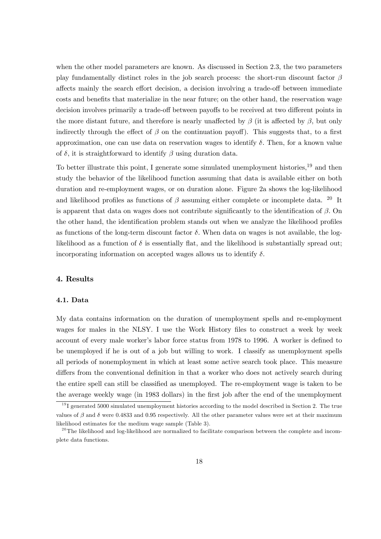when the other model parameters are known. As discussed in Section 2.3, the two parameters play fundamentally distinct roles in the job search process: the short-run discount factor  $\beta$ affects mainly the search effort decision, a decision involving a trade-off between immediate costs and benefits that materialize in the near future; on the other hand, the reservation wage decision involves primarily a trade-off between payoffs to be received at two different points in the more distant future, and therefore is nearly unaffected by  $\beta$  (it is affected by  $\beta$ , but only indirectly through the effect of  $\beta$  on the continuation payoff). This suggests that, to a first approximation, one can use data on reservation wages to identify  $\delta$ . Then, for a known value of  $\delta$ , it is straightforward to identify  $\beta$  using duration data.

To better illustrate this point, I generate some simulated unemployment histories,<sup>19</sup> and then study the behavior of the likelihood function assuming that data is available either on both duration and re-employment wages, or on duration alone. Figure 2a shows the log-likelihood and likelihood profiles as functions of  $\beta$  assuming either complete or incomplete data. <sup>20</sup> It is apparent that data on wages does not contribute significantly to the identification of  $\beta$ . On the other hand, the identification problem stands out when we analyze the likelihood profiles as functions of the long-term discount factor  $\delta$ . When data on wages is not available, the loglikelihood as a function of  $\delta$  is essentially flat, and the likelihood is substantially spread out; incorporating information on accepted wages allows us to identify  $\delta$ .

#### 4. Results

#### 4.1. Data

My data contains information on the duration of unemployment spells and re-employment wages for males in the NLSY. I use the Work History files to construct a week by week account of every male worker's labor force status from 1978 to 1996. A worker is defined to be unemployed if he is out of a job but willing to work. I classify as unemployment spells all periods of nonemployment in which at least some active search took place. This measure differs from the conventional definition in that a worker who does not actively search during the entire spell can still be classified as unemployed. The re-employment wage is taken to be the average weekly wage (in 1983 dollars) in the first job after the end of the unemployment

 $191$  generated 5000 simulated unemployment histories according to the model described in Section 2. The true values of  $\beta$  and  $\delta$  were 0.4833 and 0.95 respectively. All the other parameter values were set at their maximum likelihood estimates for the medium wage sample (Table 3).

 $20$ The likelihood and log-likelihood are normalized to facilitate comparison between the complete and incomplete data functions.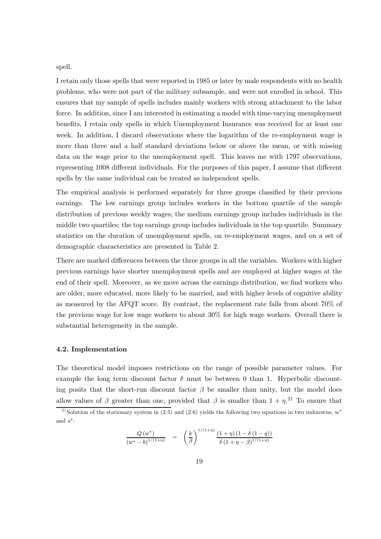spell.

I retain only those spells that were reported in 1985 or later by male respondents with no health problems, who were not part of the military subsample, and were not enrolled in school. This ensures that my sample of spells includes mainly workers with strong attachment to the labor force. In addition, since I am interested in estimating a model with time-varying unemployment benefits, I retain only spells in which Unemployment Insurance was received for at least one week. In addition, I discard observations where the logarithm of the re-employment wage is more than three and a half standard deviations below or above the mean, or with missing data on the wage prior to the unemployment spell. This leaves me with 1797 observations, representing 1008 different individuals. For the purposes of this paper, I assume that different spells by the same individual can be treated as independent spells.

The empirical analysis is performed separately for three groups classified by their previous earnings. The low earnings group includes workers in the bottom quartile of the sample distribution of previous weekly wages; the medium earnings group includes individuals in the middle two quartiles; the top earnings group includes individuals in the top quartile. Summary statistics on the duration of unemployment spells, on re-employment wages, and on a set of demographic characteristics are presented in Table 2.

There are marked differences between the three groups in all the variables. Workers with higher previous earnings have shorter unemployment spells and are employed at higher wages at the end of their spell. Moreover, as we move across the earnings distribution, we find workers who are older, more educated, more likely to be married, and with higher levels of cognitive ability as measured by the AFQT score. By contrast, the replacement rate falls from about 70% of the previous wage for low wage workers to about 30% for high wage workers. Overall there is substantial heterogeneity in the sample.

#### 4.2. Implementation

The theoretical model imposes restrictions on the range of possible parameter values. For example the long term discount factor  $\delta$  must be between 0 than 1. Hyperbolic discounting posits that the short-run discount factor  $\beta$  be smaller than unity, but the model does allow values of  $\beta$  greater than one, provided that  $\beta$  is smaller than  $1 + \eta$ <sup>21</sup>. To ensure that

$$
\frac{Q(w^*)}{(w^*-b)^{1/(1+\eta)}} = \left(\frac{k}{\beta}\right)^{1/(1+\eta)} \frac{(1+\eta)(1-\delta(1-q))}{\delta(1+\eta-\beta)^{1/(1+\eta)}}
$$

<sup>&</sup>lt;sup>21</sup> Solution of the stationary system in (2.5) and (2.6) yields the following two equations in two unknowns,  $w^*$ and  $s^*$ :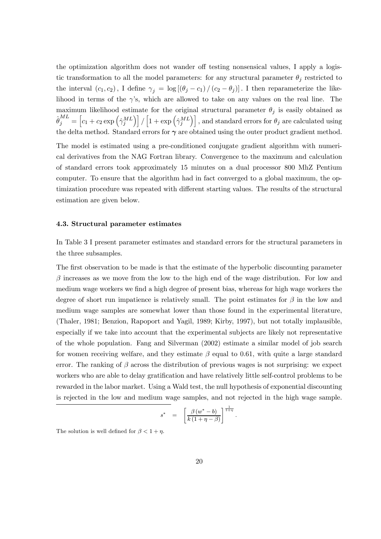the optimization algorithm does not wander off testing nonsensical values, I apply a logistic transformation to all the model parameters: for any structural parameter  $\theta_j$  restricted to the interval  $(c_1, c_2)$ , I define  $\gamma_j = \log[(\theta_j - c_1) / (c_2 - \theta_j)]$ . I then reparameterize the likelihood in terms of the  $\gamma$ 's, which are allowed to take on any values on the real line. The maximum likelihood estimate for the original structural parameter  $\theta_i$  is easily obtained as  $\hat{\theta}_j^{ML} = \left[c_1 + c_2 \exp\left(\hat{\gamma}_j^{ML}\right)\right] / \left[1 + \exp\left(\hat{\gamma}_j^{ML}\right)\right], \text{and standard errors for } \theta_j \text{ are calculated using}$ the delta method. Standard errors for  $\gamma$  are obtained using the outer product gradient method.

The model is estimated using a pre-conditioned conjugate gradient algorithm with numerical derivatives from the NAG Fortran library. Convergence to the maximum and calculation of standard errors took approximately 15 minutes on a dual processor 800 MhZ Pentium computer. To ensure that the algorithm had in fact converged to a global maximum, the optimization procedure was repeated with different starting values. The results of the structural estimation are given below.

#### 4.3. Structural parameter estimates

In Table 3 I present parameter estimates and standard errors for the structural parameters in the three subsamples.

The first observation to be made is that the estimate of the hyperbolic discounting parameter  $\beta$  increases as we move from the low to the high end of the wage distribution. For low and medium wage workers we find a high degree of present bias, whereas for high wage workers the degree of short run impatience is relatively small. The point estimates for  $\beta$  in the low and medium wage samples are somewhat lower than those found in the experimental literature, (Thaler, 1981; Benzion, Rapoport and Yagil, 1989; Kirby, 1997), but not totally implausible, especially if we take into account that the experimental subjects are likely not representative of the whole population. Fang and Silverman (2002) estimate a similar model of job search for women receiving welfare, and they estimate  $\beta$  equal to 0.61, with quite a large standard error. The ranking of  $\beta$  across the distribution of previous wages is not surprising: we expect workers who are able to delay gratification and have relatively little self-control problems to be rewarded in the labor market. Using a Wald test, the null hypothesis of exponential discounting is rejected in the low and medium wage samples, and not rejected in the high wage sample.

$$
s^* = \left[ \frac{\beta (w^* - b)}{k(1 + \eta - \beta)} \right]^{\frac{1}{1 + \eta}}.
$$

The solution is well defined for  $\beta < 1 + \eta$ .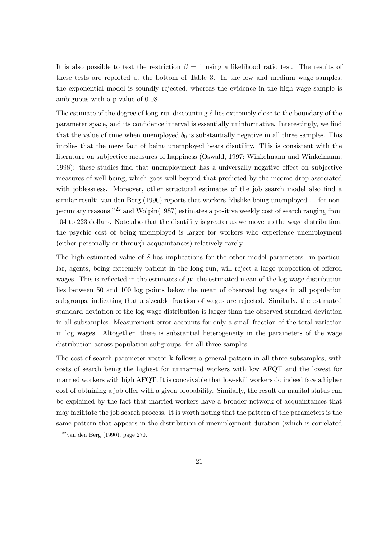It is also possible to test the restriction  $\beta = 1$  using a likelihood ratio test. The results of these tests are reported at the bottom of Table 3. In the low and medium wage samples, the exponential model is soundly rejected, whereas the evidence in the high wage sample is ambiguous with a p-value of 0.08.

The estimate of the degree of long-run discounting  $\delta$  lies extremely close to the boundary of the parameter space, and its confidence interval is essentially uninformative. Interestingly, we find that the value of time when unemployed  $b_0$  is substantially negative in all three samples. This implies that the mere fact of being unemployed bears disutility. This is consistent with the literature on subjective measures of happiness (Oswald, 1997; Winkelmann and Winkelmann, 1998): these studies find that unemployment has a universally negative effect on subjective measures of well-being, which goes well beyond that predicted by the income drop associated with joblessness. Moreover, other structural estimates of the job search model also find a similar result: van den Berg (1990) reports that workers "dislike being unemployed ... for nonpecuniary reasons,"22 and Wolpin(1987) estimates a positive weekly cost of search ranging from 104 to 223 dollars. Note also that the disutility is greater as we move up the wage distribution: the psychic cost of being unemployed is larger for workers who experience unemployment (either personally or through acquaintances) relatively rarely.

The high estimated value of  $\delta$  has implications for the other model parameters: in particular, agents, being extremely patient in the long run, will reject a large proportion of offered wages. This is reflected in the estimates of  $\mu$ : the estimated mean of the log wage distribution lies between 50 and 100 log points below the mean of observed log wages in all population subgroups, indicating that a sizeable fraction of wages are rejected. Similarly, the estimated standard deviation of the log wage distribution is larger than the observed standard deviation in all subsamples. Measurement error accounts for only a small fraction of the total variation in log wages. Altogether, there is substantial heterogeneity in the parameters of the wage distribution across population subgroups, for all three samples.

The cost of search parameter vector **k** follows a general pattern in all three subsamples, with costs of search being the highest for unmarried workers with low AFQT and the lowest for married workers with high AFQT. It is conceivable that low-skill workers do indeed face a higher cost of obtaining a job offer with a given probability. Similarly, the result on marital status can be explained by the fact that married workers have a broader network of acquaintances that may facilitate the job search process. It is worth noting that the pattern of the parameters is the same pattern that appears in the distribution of unemployment duration (which is correlated

 $22$  van den Berg (1990), page 270.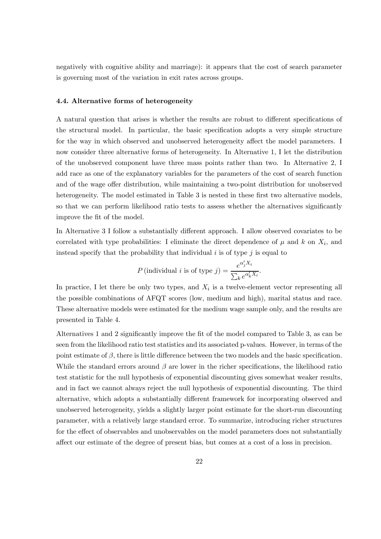negatively with cognitive ability and marriage): it appears that the cost of search parameter is governing most of the variation in exit rates across groups.

#### 4.4. Alternative forms of heterogeneity

A natural question that arises is whether the results are robust to different specifications of the structural model. In particular, the basic specification adopts a very simple structure for the way in which observed and unobserved heterogeneity affect the model parameters. I now consider three alternative forms of heterogeneity. In Alternative 1, I let the distribution of the unobserved component have three mass points rather than two. In Alternative 2, I add race as one of the explanatory variables for the parameters of the cost of search function and of the wage offer distribution, while maintaining a two-point distribution for unobserved heterogeneity. The model estimated in Table 3 is nested in these first two alternative models, so that we can perform likelihood ratio tests to assess whether the alternatives significantly improve the fit of the model.

In Alternative 3 I follow a substantially different approach. I allow observed covariates to be correlated with type probabilities: I eliminate the direct dependence of  $\mu$  and k on  $X_i$ , and instead specify that the probability that individual i is of type  $j$  is equal to

$$
P(\text{individual } i \text{ is of type } j) = \frac{e^{\alpha'_j X_i}}{\sum_k e^{\alpha'_k X_i}}.
$$

In practice, I let there be only two types, and  $X_i$  is a twelve-element vector representing all the possible combinations of AFQT scores (low, medium and high), marital status and race. These alternative models were estimated for the medium wage sample only, and the results are presented in Table 4.

Alternatives 1 and 2 significantly improve the fit of the model compared to Table 3, as can be seen from the likelihood ratio test statistics and its associated p-values. However, in terms of the point estimate of  $\beta$ , there is little difference between the two models and the basic specification. While the standard errors around  $\beta$  are lower in the richer specifications, the likelihood ratio test statistic for the null hypothesis of exponential discounting gives somewhat weaker results, and in fact we cannot always reject the null hypothesis of exponential discounting. The third alternative, which adopts a substantially different framework for incorporating observed and unobserved heterogeneity, yields a slightly larger point estimate for the short-run discounting parameter, with a relatively large standard error. To summarize, introducing richer structures for the effect of observables and unobservables on the model parameters does not substantially affect our estimate of the degree of present bias, but comes at a cost of a loss in precision.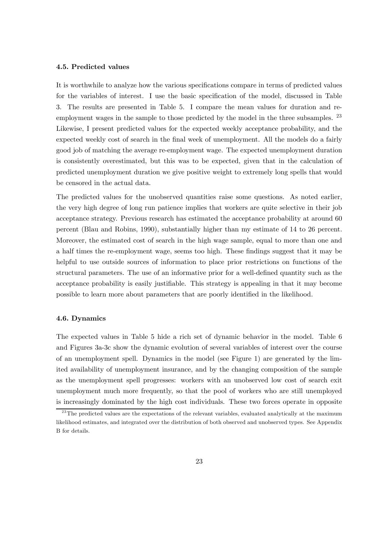#### 4.5. Predicted values

It is worthwhile to analyze how the various specifications compare in terms of predicted values for the variables of interest. I use the basic specification of the model, discussed in Table 3. The results are presented in Table 5. I compare the mean values for duration and reemployment wages in the sample to those predicted by the model in the three subsamples. <sup>23</sup> Likewise, I present predicted values for the expected weekly acceptance probability, and the expected weekly cost of search in the final week of unemployment. All the models do a fairly good job of matching the average re-employment wage. The expected unemployment duration is consistently overestimated, but this was to be expected, given that in the calculation of predicted unemployment duration we give positive weight to extremely long spells that would be censored in the actual data.

The predicted values for the unobserved quantities raise some questions. As noted earlier, the very high degree of long run patience implies that workers are quite selective in their job acceptance strategy. Previous research has estimated the acceptance probability at around 60 percent (Blau and Robins, 1990), substantially higher than my estimate of 14 to 26 percent. Moreover, the estimated cost of search in the high wage sample, equal to more than one and a half times the re-employment wage, seems too high. These findings suggest that it may be helpful to use outside sources of information to place prior restrictions on functions of the structural parameters. The use of an informative prior for a well-defined quantity such as the acceptance probability is easily justifiable. This strategy is appealing in that it may become possible to learn more about parameters that are poorly identified in the likelihood.

#### 4.6. Dynamics

The expected values in Table 5 hide a rich set of dynamic behavior in the model. Table 6 and Figures 3a-3c show the dynamic evolution of several variables of interest over the course of an unemployment spell. Dynamics in the model (see Figure 1) are generated by the limited availability of unemployment insurance, and by the changing composition of the sample as the unemployment spell progresses: workers with an unobserved low cost of search exit unemployment much more frequently, so that the pool of workers who are still unemployed is increasingly dominated by the high cost individuals. These two forces operate in opposite

 $^{23}$ The predicted values are the expectations of the relevant variables, evaluated analytically at the maximum likelihood estimates, and integrated over the distribution of both observed and unobserved types. See Appendix B for details.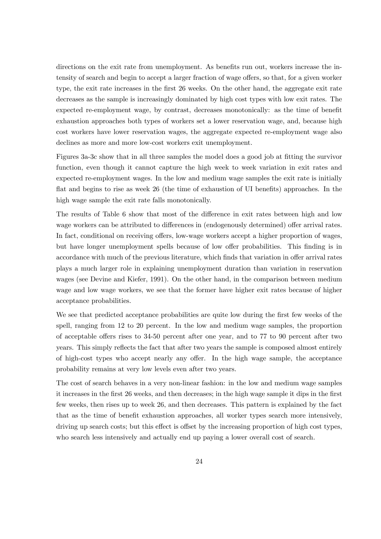directions on the exit rate from unemployment. As benefits run out, workers increase the intensity of search and begin to accept a larger fraction of wage offers, so that, for a given worker type, the exit rate increases in the first 26 weeks. On the other hand, the aggregate exit rate decreases as the sample is increasingly dominated by high cost types with low exit rates. The expected re-employment wage, by contrast, decreases monotonically: as the time of benefit exhaustion approaches both types of workers set a lower reservation wage, and, because high cost workers have lower reservation wages, the aggregate expected re-employment wage also declines as more and more low-cost workers exit unemployment.

Figures 3a-3c show that in all three samples the model does a good job at fitting the survivor function, even though it cannot capture the high week to week variation in exit rates and expected re-employment wages. In the low and medium wage samples the exit rate is initially flat and begins to rise as week 26 (the time of exhaustion of UI benefits) approaches. In the high wage sample the exit rate falls monotonically.

The results of Table 6 show that most of the difference in exit rates between high and low wage workers can be attributed to differences in (endogenously determined) offer arrival rates. In fact, conditional on receiving offers, low-wage workers accept a higher proportion of wages, but have longer unemployment spells because of low offer probabilities. This finding is in accordance with much of the previous literature, which finds that variation in offer arrival rates plays a much larger role in explaining unemployment duration than variation in reservation wages (see Devine and Kiefer, 1991). On the other hand, in the comparison between medium wage and low wage workers, we see that the former have higher exit rates because of higher acceptance probabilities.

We see that predicted acceptance probabilities are quite low during the first few weeks of the spell, ranging from 12 to 20 percent. In the low and medium wage samples, the proportion of acceptable offers rises to 34-50 percent after one year, and to 77 to 90 percent after two years. This simply reflects the fact that after two years the sample is composed almost entirely of high-cost types who accept nearly any offer. In the high wage sample, the acceptance probability remains at very low levels even after two years.

The cost of search behaves in a very non-linear fashion: in the low and medium wage samples it increases in the first 26 weeks, and then decreases; in the high wage sample it dips in the first few weeks, then rises up to week 26, and then decreases. This pattern is explained by the fact that as the time of benefit exhaustion approaches, all worker types search more intensively, driving up search costs; but this effect is offset by the increasing proportion of high cost types, who search less intensively and actually end up paying a lower overall cost of search.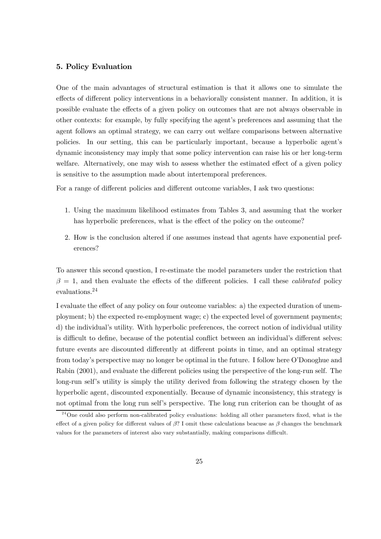#### 5. Policy Evaluation

One of the main advantages of structural estimation is that it allows one to simulate the effects of different policy interventions in a behaviorally consistent manner. In addition, it is possible evaluate the effects of a given policy on outcomes that are not always observable in other contexts: for example, by fully specifying the agent's preferences and assuming that the agent follows an optimal strategy, we can carry out welfare comparisons between alternative policies. In our setting, this can be particularly important, because a hyperbolic agent's dynamic inconsistency may imply that some policy intervention can raise his or her long-term welfare. Alternatively, one may wish to assess whether the estimated effect of a given policy is sensitive to the assumption made about intertemporal preferences.

For a range of different policies and different outcome variables, I ask two questions:

- 1. Using the maximum likelihood estimates from Tables 3, and assuming that the worker has hyperbolic preferences, what is the effect of the policy on the outcome?
- 2. How is the conclusion altered if one assumes instead that agents have exponential preferences?

To answer this second question, I re-estimate the model parameters under the restriction that  $\beta = 1$ , and then evaluate the effects of the different policies. I call these *calibrated* policy evaluations.24

I evaluate the effect of any policy on four outcome variables: a) the expected duration of unemployment; b) the expected re-employment wage; c) the expected level of government payments; d) the individual's utility. With hyperbolic preferences, the correct notion of individual utility is difficult to define, because of the potential conflict between an individual's different selves: future events are discounted differently at different points in time, and an optimal strategy from today's perspective may no longer be optimal in the future. I follow here O'Donoghue and Rabin (2001), and evaluate the different policies using the perspective of the long-run self. The long-run self's utility is simply the utility derived from following the strategy chosen by the hyperbolic agent, discounted exponentially. Because of dynamic inconsistency, this strategy is not optimal from the long run self's perspective. The long run criterion can be thought of as

<sup>&</sup>lt;sup>24</sup>One could also perform non-calibrated policy evaluations: holding all other parameters fixed, what is the effect of a given policy for different values of  $\beta$ ? I omit these calculations beacuse as  $\beta$  changes the benchmark values for the parameters of interest also vary substantially, making comparisons difficult.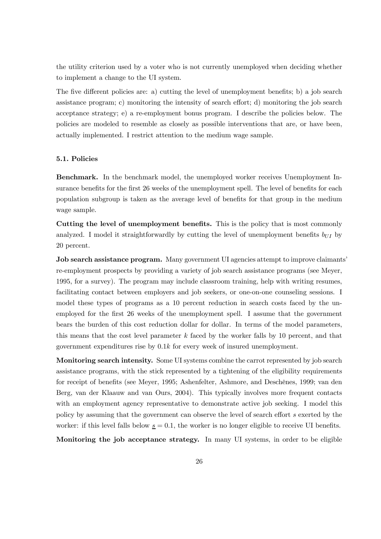the utility criterion used by a voter who is not currently unemployed when deciding whether to implement a change to the UI system.

The five different policies are: a) cutting the level of unemployment benefits; b) a job search assistance program; c) monitoring the intensity of search effort; d) monitoring the job search acceptance strategy; e) a re-employment bonus program. I describe the policies below. The policies are modeled to resemble as closely as possible interventions that are, or have been, actually implemented. I restrict attention to the medium wage sample.

#### 5.1. Policies

Benchmark. In the benchmark model, the unemployed worker receives Unemployment Insurance benefits for the first 26 weeks of the unemployment spell. The level of benefits for each population subgroup is taken as the average level of benefits for that group in the medium wage sample.

Cutting the level of unemployment benefits. This is the policy that is most commonly analyzed. I model it straightforwardly by cutting the level of unemployment benefits  $b_{III}$  by 20 percent.

Job search assistance program. Many government UI agencies attempt to improve claimants' re-employment prospects by providing a variety of job search assistance programs (see Meyer, 1995, for a survey). The program may include classroom training, help with writing resumes, facilitating contact between employers and job seekers, or one-on-one counseling sessions. I model these types of programs as a 10 percent reduction in search costs faced by the unemployed for the first 26 weeks of the unemployment spell. I assume that the government bears the burden of this cost reduction dollar for dollar. In terms of the model parameters, this means that the cost level parameter  $k$  faced by the worker falls by 10 percent, and that government expenditures rise by 0.1k for every week of insured unemployment.

Monitoring search intensity. Some UI systems combine the carrot represented by job search assistance programs, with the stick represented by a tightening of the eligibility requirements for receipt of benefits (see Meyer, 1995; Ashenfelter, Ashmore, and Deschênes, 1999; van den Berg, van der Klaauw and van Ours, 2004). This typically involves more frequent contacts with an employment agency representative to demonstrate active job seeking. I model this policy by assuming that the government can observe the level of search effort s exerted by the worker: if this level falls below  $s = 0.1$ , the worker is no longer eligible to receive UI benefits.

Monitoring the job acceptance strategy. In many UI systems, in order to be eligible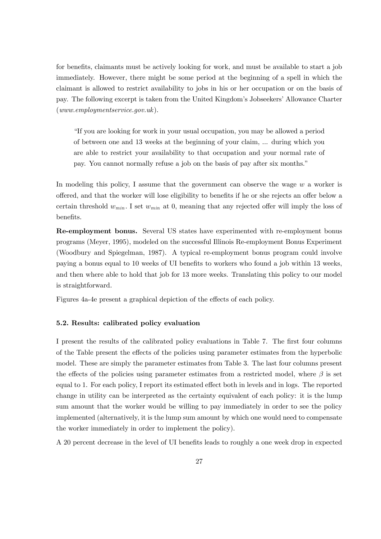for benefits, claimants must be actively looking for work, and must be available to start a job immediately. However, there might be some period at the beginning of a spell in which the claimant is allowed to restrict availability to jobs in his or her occupation or on the basis of pay. The following excerpt is taken from the United Kingdom's Jobseekers' Allowance Charter  $(www.emplovments)$ .gov.uk).

"If you are looking for work in your usual occupation, you may be allowed a period of between one and 13 weeks at the beginning of your claim, ... during which you are able to restrict your availability to that occupation and your normal rate of pay. You cannot normally refuse a job on the basis of pay after six months."

In modeling this policy, I assume that the government can observe the wage  $w$  a worker is offered, and that the worker will lose eligibility to benefits if he or she rejects an offer below a certain threshold  $w_{min}$ . I set  $w_{min}$  at 0, meaning that any rejected offer will imply the loss of benefits.

Re-employment bonus. Several US states have experimented with re-employment bonus programs (Meyer, 1995), modeled on the successful Illinois Re-employment Bonus Experiment (Woodbury and Spiegelman, 1987). A typical re-employment bonus program could involve paying a bonus equal to 10 weeks of UI benefits to workers who found a job within 13 weeks, and then where able to hold that job for 13 more weeks. Translating this policy to our model is straightforward.

Figures 4a-4e present a graphical depiction of the effects of each policy.

#### 5.2. Results: calibrated policy evaluation

I present the results of the calibrated policy evaluations in Table 7. The first four columns of the Table present the effects of the policies using parameter estimates from the hyperbolic model. These are simply the parameter estimates from Table 3. The last four columns present the effects of the policies using parameter estimates from a restricted model, where  $\beta$  is set equal to 1. For each policy, I report its estimated effect both in levels and in logs. The reported change in utility can be interpreted as the certainty equivalent of each policy: it is the lump sum amount that the worker would be willing to pay immediately in order to see the policy implemented (alternatively, it is the lump sum amount by which one would need to compensate the worker immediately in order to implement the policy).

A 20 percent decrease in the level of UI benefits leads to roughly a one week drop in expected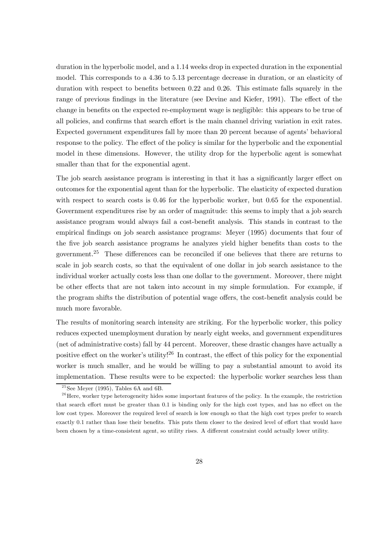duration in the hyperbolic model, and a 1.14 weeks drop in expected duration in the exponential model. This corresponds to a 4.36 to 5.13 percentage decrease in duration, or an elasticity of duration with respect to benefits between 0.22 and 0.26. This estimate falls squarely in the range of previous findings in the literature (see Devine and Kiefer, 1991). The effect of the change in benefits on the expected re-employment wage is negligible: this appears to be true of all policies, and confirms that search effort is the main channel driving variation in exit rates. Expected government expenditures fall by more than 20 percent because of agents' behavioral response to the policy. The effect of the policy is similar for the hyperbolic and the exponential model in these dimensions. However, the utility drop for the hyperbolic agent is somewhat smaller than that for the exponential agent.

The job search assistance program is interesting in that it has a significantly larger effect on outcomes for the exponential agent than for the hyperbolic. The elasticity of expected duration with respect to search costs is 0.46 for the hyperbolic worker, but 0.65 for the exponential. Government expenditures rise by an order of magnitude: this seems to imply that a job search assistance program would always fail a cost-benefit analysis. This stands in contrast to the empirical findings on job search assistance programs: Meyer (1995) documents that four of the five job search assistance programs he analyzes yield higher benefits than costs to the government.<sup>25</sup> These differences can be reconciled if one believes that there are returns to scale in job search costs, so that the equivalent of one dollar in job search assistance to the individual worker actually costs less than one dollar to the government. Moreover, there might be other effects that are not taken into account in my simple formulation. For example, if the program shifts the distribution of potential wage offers, the cost-benefit analysis could be much more favorable.

The results of monitoring search intensity are striking. For the hyperbolic worker, this policy reduces expected unemployment duration by nearly eight weeks, and government expenditures (net of administrative costs) fall by 44 percent. Moreover, these drastic changes have actually a positive effect on the worker's utility!<sup>26</sup> In contrast, the effect of this policy for the exponential worker is much smaller, and he would be willing to pay a substantial amount to avoid its implementation. These results were to be expected: the hyperbolic worker searches less than

 $25$ See Meyer (1995), Tables 6A and 6B.

<sup>&</sup>lt;sup>26</sup> Here, worker type heterogeneity hides some important features of the policy. In the example, the restriction that search effort must be greater than 0.1 is binding only for the high cost types, and has no effect on the low cost types. Moreover the required level of search is low enough so that the high cost types prefer to search exactly 0.1 rather than lose their benefits. This puts them closer to the desired level of effort that would have been chosen by a time-consistent agent, so utility rises. A different constraint could actually lower utility.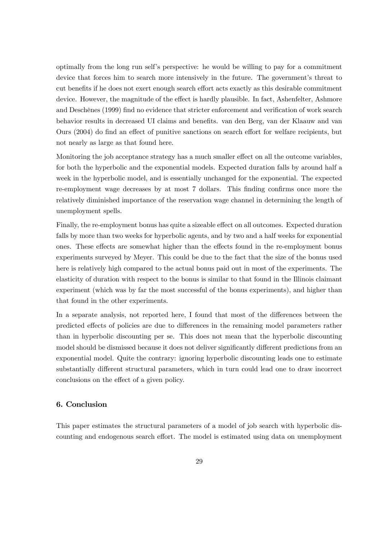optimally from the long run self's perspective: he would be willing to pay for a commitment device that forces him to search more intensively in the future. The government's threat to cut benefits if he does not exert enough search effort acts exactly as this desirable commitment device. However, the magnitude of the effect is hardly plausible. In fact, Ashenfelter, Ashmore and Deschênes (1999) find no evidence that stricter enforcement and verification of work search behavior results in decreased UI claims and benefits. van den Berg, van der Klaauw and van Ours (2004) do find an effect of punitive sanctions on search effort for welfare recipients, but not nearly as large as that found here.

Monitoring the job acceptance strategy has a much smaller effect on all the outcome variables, for both the hyperbolic and the exponential models. Expected duration falls by around half a week in the hyperbolic model, and is essentially unchanged for the exponential. The expected re-employment wage decreases by at most 7 dollars. This finding confirms once more the relatively diminished importance of the reservation wage channel in determining the length of unemployment spells.

Finally, the re-employment bonus has quite a sizeable effect on all outcomes. Expected duration falls by more than two weeks for hyperbolic agents, and by two and a half weeks for exponential ones. These effects are somewhat higher than the effects found in the re-employment bonus experiments surveyed by Meyer. This could be due to the fact that the size of the bonus used here is relatively high compared to the actual bonus paid out in most of the experiments. The elasticity of duration with respect to the bonus is similar to that found in the Illinois claimant experiment (which was by far the most successful of the bonus experiments), and higher than that found in the other experiments.

In a separate analysis, not reported here, I found that most of the differences between the predicted effects of policies are due to differences in the remaining model parameters rather than in hyperbolic discounting per se. This does not mean that the hyperbolic discounting model should be dismissed because it does not deliver significantly different predictions from an exponential model. Quite the contrary: ignoring hyperbolic discounting leads one to estimate substantially different structural parameters, which in turn could lead one to draw incorrect conclusions on the effect of a given policy.

#### 6. Conclusion

This paper estimates the structural parameters of a model of job search with hyperbolic discounting and endogenous search effort. The model is estimated using data on unemployment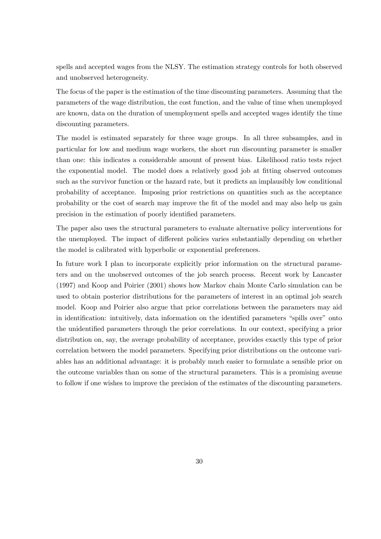spells and accepted wages from the NLSY. The estimation strategy controls for both observed and unobserved heterogeneity.

The focus of the paper is the estimation of the time discounting parameters. Assuming that the parameters of the wage distribution, the cost function, and the value of time when unemployed are known, data on the duration of unemployment spells and accepted wages identify the time discounting parameters.

The model is estimated separately for three wage groups. In all three subsamples, and in particular for low and medium wage workers, the short run discounting parameter is smaller than one: this indicates a considerable amount of present bias. Likelihood ratio tests reject the exponential model. The model does a relatively good job at fitting observed outcomes such as the survivor function or the hazard rate, but it predicts an implausibly low conditional probability of acceptance. Imposing prior restrictions on quantities such as the acceptance probability or the cost of search may improve the fit of the model and may also help us gain precision in the estimation of poorly identified parameters.

The paper also uses the structural parameters to evaluate alternative policy interventions for the unemployed. The impact of different policies varies substantially depending on whether the model is calibrated with hyperbolic or exponential preferences.

In future work I plan to incorporate explicitly prior information on the structural parameters and on the unobserved outcomes of the job search process. Recent work by Lancaster (1997) and Koop and Poirier (2001) shows how Markov chain Monte Carlo simulation can be used to obtain posterior distributions for the parameters of interest in an optimal job search model. Koop and Poirier also argue that prior correlations between the parameters may aid in identification: intuitively, data information on the identified parameters "spills over" onto the unidentified parameters through the prior correlations. In our context, specifying a prior distribution on, say, the average probability of acceptance, provides exactly this type of prior correlation between the model parameters. Specifying prior distributions on the outcome variables has an additional advantage: it is probably much easier to formulate a sensible prior on the outcome variables than on some of the structural parameters. This is a promising avenue to follow if one wishes to improve the precision of the estimates of the discounting parameters.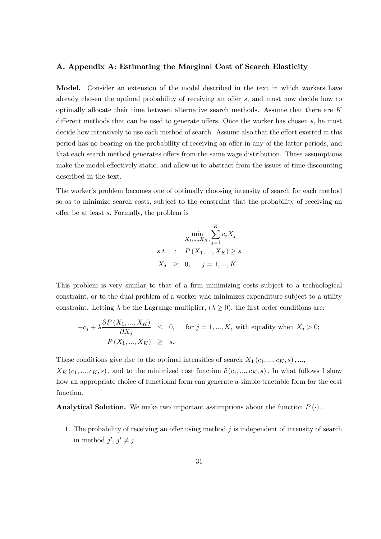#### A. Appendix A: Estimating the Marginal Cost of Search Elasticity

Model. Consider an extension of the model described in the text in which workers have already chosen the optimal probability of receiving an offer s, and must now decide how to optimally allocate their time between alternative search methods. Assume that there are  $K$ different methods that can be used to generate offers. Once the worker has chosen s, he must decide how intensively to use each method of search. Assume also that the effort exerted in this period has no bearing on the probability of receiving an offer in any of the latter periods, and that each search method generates offers from the same wage distribution. These assumptions make the model effectively static, and allow us to abstract from the issues of time discounting described in the text.

The worker's problem becomes one of optimally choosing intensity of search for each method so as to minimize search costs, subject to the constraint that the probability of receiving an offer be at least s. Formally, the problem is

$$
\min_{X_1, ..., X_K;} \sum_{j=1}^{K} c_j X_j
$$
  
s.t. :  $P(X_1, ..., X_K) \ge s$   
 $X_j \ge 0, \quad j = 1, ..., K$ 

This problem is very similar to that of a firm minimizing costs subject to a technological constraint, or to the dual problem of a worker who minimizes expenditure subject to a utility constraint. Letting  $\lambda$  be the Lagrange multiplier,  $(\lambda \geq 0)$ , the first order conditions are:

$$
-c_j + \lambda \frac{\partial P(X_1, ..., X_K)}{\partial X_j} \leq 0, \quad \text{for } j = 1, ..., K, \text{ with equality when } X_j > 0;
$$
  

$$
P(X_1, ..., X_K) \geq s.
$$

These conditions give rise to the optimal intensities of search  $X_1(c_1, ..., c_K, s), ...,$  $X_K(c_1, ..., c_K, s)$ , and to the minimized cost function  $\tilde{c}(c_1, ..., c_K, s)$ . In what follows I show how an appropriate choice of functional form can generate a simple tractable form for the cost function.

**Analytical Solution.** We make two important assumptions about the function  $P(\cdot)$ .

1. The probability of receiving an offer using method  $j$  is independent of intensity of search in method  $j', j' \neq j$ .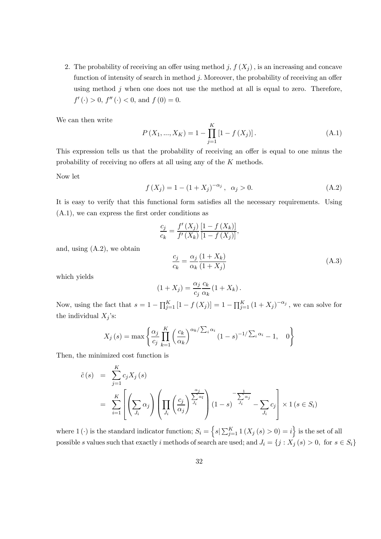2. The probability of receiving an offer using method j,  $f(X_i)$ , is an increasing and concave function of intensity of search in method  $j$ . Moreover, the probability of receiving an offer using method  $j$  when one does not use the method at all is equal to zero. Therefore,  $f'(\cdot) > 0$ ,  $f''(\cdot) < 0$ , and  $f(0) = 0$ .

We can then write

$$
P(X_1, ..., X_K) = 1 - \prod_{j=1}^{K} [1 - f(X_j)].
$$
\n(A.1)

This expression tells us that the probability of receiving an offer is equal to one minus the probability of receiving no offers at all using any of the K methods.

Now let

$$
f(X_j) = 1 - (1 + X_j)^{-\alpha_j}, \ \alpha_j > 0.
$$
 (A.2)

It is easy to verify that this functional form satisfies all the necessary requirements. Using (A.1), we can express the first order conditions as

$$
\frac{c_j}{c_k} = \frac{f'(X_j)}{f'(X_k)} \frac{[1 - f(X_k)]}{[1 - f(X_j)]},
$$

and, using (A.2), we obtain

$$
\frac{c_j}{c_k} = \frac{\alpha_j}{\alpha_k} \frac{(1 + X_k)}{(1 + X_j)}\tag{A.3}
$$

which yields

$$
(1+X_j) = \frac{\alpha_j}{c_j} \frac{c_k}{\alpha_k} (1+X_k).
$$

Now, using the fact that  $s = 1 - \prod_{j=1}^{K} [1 - f(X_j)] = 1 - \prod_{j=1}^{K} (1 + X_j)^{-\alpha_j}$ , we can solve for the individual  $X_j$ 's:

$$
X_j(s) = \max \left\{ \frac{\alpha_j}{c_j} \prod_{k=1}^K \left( \frac{c_k}{\alpha_k} \right)^{\alpha_k / \sum_i \alpha_i} (1-s)^{-1 / \sum_i \alpha_i} - 1, \quad 0 \right\}
$$

Then, the minimized cost function is

$$
\tilde{c}(s) = \sum_{j=1}^{K} c_j X_j(s)
$$
\n
$$
= \sum_{i=1}^{K} \left[ \left( \sum_{J_i} \alpha_j \right) \left( \prod_{J_i} \left( \frac{c_j}{\alpha_j} \right)^{\frac{\alpha_j}{J_i}} \right) (1-s)^{-\frac{1}{J_i}} - \sum_{J_i} c_j \right] \times 1 \quad (s \in S_i)
$$

where 1 ( $\cdot$ ) is the standard indicator function;  $S_i = \left\{ s | \sum_{j=1}^{K} 1 (X_j (s) > 0) = i \right\}$  is the set of all possible s values such that exactly i methods of search are used; and  $J_i = \{j : X_j(s) > 0, \text{ for } s \in S_i\}$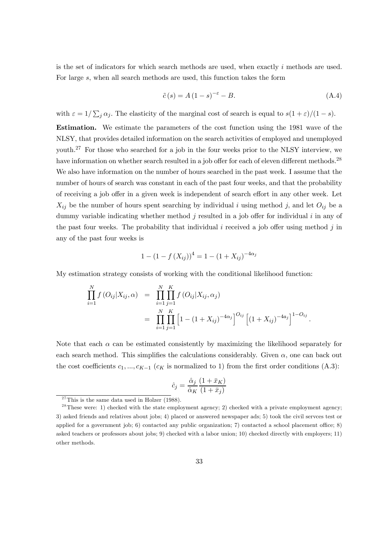is the set of indicators for which search methods are used, when exactly  $i$  methods are used. For large s, when all search methods are used, this function takes the form

$$
\tilde{c}(s) = A(1 - s)^{-\varepsilon} - B.
$$
\n(A.4)

with  $\varepsilon = 1/\sum_j \alpha_j$ . The elasticity of the marginal cost of search is equal to  $s(1+\varepsilon)/(1-s)$ .

Estimation. We estimate the parameters of the cost function using the 1981 wave of the NLSY, that provides detailed information on the search activities of employed and unemployed youth.<sup>27</sup> For those who searched for a job in the four weeks prior to the NLSY interview, we have information on whether search resulted in a job offer for each of eleven different methods.<sup>28</sup> We also have information on the number of hours searched in the past week. I assume that the number of hours of search was constant in each of the past four weeks, and that the probability of receiving a job offer in a given week is independent of search effort in any other week. Let  $X_{ij}$  be the number of hours spent searching by individual i using method j, and let  $O_{ij}$  be a dummy variable indicating whether method  $j$  resulted in a job offer for individual  $i$  in any of the past four weeks. The probability that individual i received a job offer using method  $j$  in any of the past four weeks is

$$
1 - (1 - f(X_{ij}))^{4} = 1 - (1 + X_{ij})^{-4\alpha_{j}}
$$

My estimation strategy consists of working with the conditional likelihood function:

$$
\prod_{i=1}^{N} f(O_{ij}|X_{ij}, \alpha) = \prod_{i=1}^{N} \prod_{j=1}^{K} f(O_{ij}|X_{ij}, \alpha_j)
$$
\n
$$
= \prod_{i=1}^{N} \prod_{j=1}^{K} \left[1 - (1 + X_{ij})^{-4\alpha_j}\right]^{O_{ij}} \left[(1 + X_{ij})^{-4a_j}\right]^{1 - O_{ij}}.
$$

Note that each  $\alpha$  can be estimated consistently by maximizing the likelihood separately for each search method. This simplifies the calculations considerably. Given  $\alpha$ , one can back out the cost coefficients  $c_1, ..., c_{K-1}$  ( $c_K$  is normalized to 1) from the first order conditions (A.3):

$$
\hat{c}_j = \frac{\hat{\alpha}_j}{\hat{\alpha}_K} \frac{(1 + \bar{x}_K)}{(1 + \bar{x}_j)}
$$

 $27$ This is the same data used in Holzer (1988).

 $2<sup>28</sup>$  These were: 1) checked with the state employment agency; 2) checked with a private employment agency; 3) asked friends and relatives about jobs; 4) placed or answered newspaper ads; 5) took the civil servces test or applied for a government job; 6) contacted any public organization; 7) contacted a school placement office; 8) asked teachers or professors about jobs; 9) checked with a labor union; 10) checked directly with employers; 11) other methods.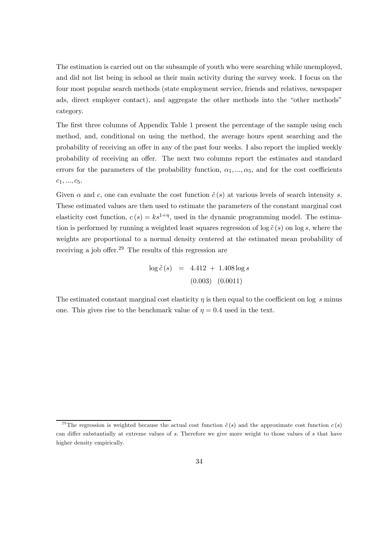The estimation is carried out on the subsample of youth who were searching while unemployed, and did not list being in school as their main activity during the survey week. I focus on the four most popular search methods (state employment service, friends and relatives, newspaper ads, direct employer contact), and aggregate the other methods into the "other methods" category.

The first three columns of Appendix Table 1 present the percentage of the sample using each method, and, conditional on using the method, the average hours spent searching and the probability of receiving an offer in any of the past four weeks. I also report the implied weekly probability of receiving an offer. The next two columns report the estimates and standard errors for the parameters of the probability function,  $\alpha_1, ..., \alpha_5$ , and for the cost coefficients  $c_1, ..., c_5.$ 

Given  $\alpha$  and c, one can evaluate the cost function  $\tilde{c}(s)$  at various levels of search intensity s. These estimated values are then used to estimate the parameters of the constant marginal cost elasticity cost function,  $c(s) = ks^{1+\eta}$ , used in the dynamic programming model. The estimation is performed by running a weighted least squares regression of  $\log \tilde{c}(s)$  on  $\log s$ , where the weights are proportional to a normal density centered at the estimated mean probability of receiving a job offer.<sup>29</sup> The results of this regression are

$$
\log \tilde{c}(s) = 4.412 + 1.408 \log s
$$
  
(0.003) (0.0011)

The estimated constant marginal cost elasticity  $\eta$  is then equal to the coefficient on log s minus one. This gives rise to the benchmark value of  $\eta = 0.4$  used in the text.

<sup>&</sup>lt;sup>29</sup>The regression is weighted because the actual cost function  $\tilde{c}(s)$  and the approximate cost function  $c(s)$ can differ substantially at extreme values of s. Therefore we give more weight to those values of s that have higher density empirically.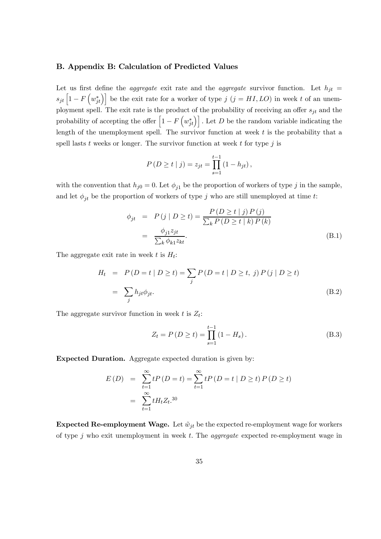#### B. Appendix B: Calculation of Predicted Values

Let us first define the *aggregate* exit rate and the *aggregate* survivor function. Let  $h_{it}$  $s_{jt}\left[1-F\left(w_{jt}^{*}\right)\right]$  be the exit rate for a worker of type  $j\,\left(j=HI,LO\right)$  in week t of an unemployment spell. The exit rate is the product of the probability of receiving an offer  $s_{jt}$  and the probability of accepting the offer  $\left[1 - F\left(w_{jt}^*\right)\right]$ . Let D be the random variable indicating the length of the unemployment spell. The survivor function at week  $t$  is the probability that a spell lasts  $t$  weeks or longer. The survivor function at week  $t$  for type  $j$  is

$$
P(D \ge t | j) = z_{jt} = \prod_{s=1}^{t-1} (1 - h_{jt}),
$$

with the convention that  $h_{j0} = 0$ . Let  $\phi_{j1}$  be the proportion of workers of type j in the sample, and let  $\phi_{jt}$  be the proportion of workers of type j who are still unemployed at time t:

$$
\begin{aligned}\n\phi_{jt} &= P(j | D \ge t) = \frac{P(D \ge t | j) P(j)}{\sum_{k} P(D \ge t | k) P(k)} \\
&= \frac{\phi_{j1} z_{jt}}{\sum_{k} \phi_{k1} z_{kt}}.\n\end{aligned} \tag{B.1}
$$

The aggregate exit rate in week t is  $H_t$ :

$$
H_t = P(D = t | D \ge t) = \sum_j P(D = t | D \ge t, j) P(j | D \ge t)
$$
  
= 
$$
\sum_j h_{jt} \phi_{jt}.
$$
 (B.2)

The aggregate survivor function in week t is  $Z_t$ :

$$
Z_t = P(D \ge t) = \prod_{s=1}^{t-1} (1 - H_s).
$$
 (B.3)

Expected Duration. Aggregate expected duration is given by:

$$
E(D) = \sum_{t=1}^{\infty} t P(D = t) = \sum_{t=1}^{\infty} t P(D = t | D \ge t) P(D \ge t)
$$
  
= 
$$
\sum_{t=1}^{\infty} t H_t Z_t^{30}
$$

Expected Re-employment Wage. Let  $\tilde{w}_{jt}$  be the expected re-employment wage for workers of type  $j$  who exit unemployment in week  $t$ . The *aggregate* expected re-employment wage in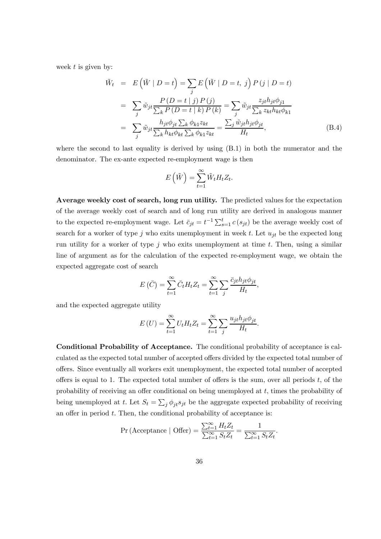week  $t$  is given by:

$$
\tilde{W}_t = E(\tilde{W} | D = t) = \sum_j E(\tilde{W} | D = t, j) P(j | D = t)
$$
\n
$$
= \sum_j \tilde{w}_{jt} \frac{P(D = t | j) P(j)}{\sum_k P(D = t | k) P(k)} = \sum_j \tilde{w}_{jt} \frac{z_{jt} h_{jt} \phi_{j1}}{\sum_k z_{kt} h_{kt} \phi_{k1}}
$$
\n
$$
= \sum_j \tilde{w}_{jt} \frac{h_{jt} \phi_{jt} \sum_k \phi_{k1} z_{kt}}{\sum_k h_{kt} \phi_{kt} \sum_k \phi_{k1} z_{kt}} = \frac{\sum_j \tilde{w}_{jt} h_{jt} \phi_{jt}}{H_t},
$$
\n(B.4)

where the second to last equality is derived by using (B.1) in both the numerator and the denominator. The ex-ante expected re-employment wage is then

$$
E(\tilde{W}) = \sum_{t=1}^{\infty} \tilde{W}_t H_t Z_t.
$$

Average weekly cost of search, long run utility. The predicted values for the expectation of the average weekly cost of search and of long run utility are derived in analogous manner to the expected re-employment wage. Let  $\bar{c}_{jt} = t^{-1} \sum_{s=1}^{t} c(s_{jt})$  be the average weekly cost of search for a worker of type j who exits unemployment in week t. Let  $u_{jt}$  be the expected long run utility for a worker of type  $j$  who exits unemployment at time  $t$ . Then, using a similar line of argument as for the calculation of the expected re-employment wage, we obtain the expected aggregate cost of search

$$
E(\bar{C}) = \sum_{t=1}^{\infty} \bar{C}_t H_t Z_t = \sum_{t=1}^{\infty} \sum_j \frac{\bar{c}_{jt} h_{jt} \phi_{jt}}{H_t},
$$

and the expected aggregate utility

$$
E\left(U\right) = \sum_{t=1}^{\infty} U_t H_t Z_t = \sum_{t=1}^{\infty} \sum_j \frac{u_{jt} h_{jt} \phi_{jt}}{H_t}.
$$

Conditional Probability of Acceptance. The conditional probability of acceptance is calculated as the expected total number of accepted offers divided by the expected total number of offers. Since eventually all workers exit unemployment, the expected total number of accepted offers is equal to 1. The expected total number of offers is the sum, over all periods  $t$ , of the probability of receiving an offer conditional on being unemployed at t, times the probability of being unemployed at t. Let  $S_t = \sum_j \phi_{jt} s_{jt}$  be the aggregate expected probability of receiving an offer in period  $t$ . Then, the conditional probability of acceptance is:

$$
\Pr(\text{Acceptance } | \text{ offer}) = \frac{\sum_{t=1}^{\infty} H_t Z_t}{\sum_{t=1}^{\infty} S_t Z_t} = \frac{1}{\sum_{t=1}^{\infty} S_t Z_t}
$$

.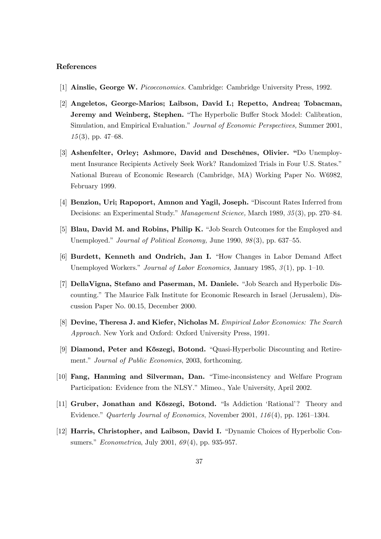#### References

- [1] Ainslie, George W. Picoeconomics. Cambridge: Cambridge University Press, 1992.
- [2] Angeletos, George-Marios; Laibson, David I.; Repetto, Andrea; Tobacman, Jeremy and Weinberg, Stephen. "The Hyperbolic Buffer Stock Model: Calibration, Simulation, and Empirical Evaluation." Journal of Economic Perspectives, Summer 2001,  $15(3)$ , pp. 47–68.
- [3] Ashenfelter, Orley; Ashmore, David and Deschênes, Olivier. "Do Unemployment Insurance Recipients Actively Seek Work? Randomized Trials in Four U.S. States." National Bureau of Economic Research (Cambridge, MA) Working Paper No. W6982, February 1999.
- [4] Benzion, Uri; Rapoport, Amnon and Yagil, Joseph. "Discount Rates Inferred from Decisions: an Experimental Study." Management Science, March 1989, 35 (3), pp. 270—84.
- [5] Blau, David M. and Robins, Philip K. "Job Search Outcomes for the Employed and Unemployed." Journal of Political Economy, June 1990, 98(3), pp. 637–55.
- [6] Burdett, Kenneth and Ondrich, Jan I. "How Changes in Labor Demand Affect Unemployed Workers." Journal of Labor Economics, January 1985,  $\mathcal{S}(1)$ , pp. 1–10.
- [7] DellaVigna, Stefano and Paserman, M. Daniele. "Job Search and Hyperbolic Discounting." The Maurice Falk Institute for Economic Research in Israel (Jerusalem), Discussion Paper No. 00.15, December 2000.
- [8] Devine, Theresa J. and Kiefer, Nicholas M. Empirical Labor Economics: The Search Approach. New York and Oxford: Oxford University Press, 1991.
- [9] Diamond, Peter and K˝oszegi, Botond. "Quasi-Hyperbolic Discounting and Retirement." Journal of Public Economics, 2003, forthcoming.
- [10] Fang, Hanming and Silverman, Dan. "Time-inconsistency and Welfare Program Participation: Evidence from the NLSY." Mimeo., Yale University, April 2002.
- [11] Gruber, Jonathan and Kőszegi, Botond. "Is Addiction 'Rational'? Theory and Evidence." Quarterly Journal of Economics, November 2001, 116 (4), pp. 1261—1304.
- [12] Harris, Christopher, and Laibson, David I. "Dynamic Choices of Hyperbolic Consumers." *Econometrica*, July 2001, 69(4), pp. 935-957.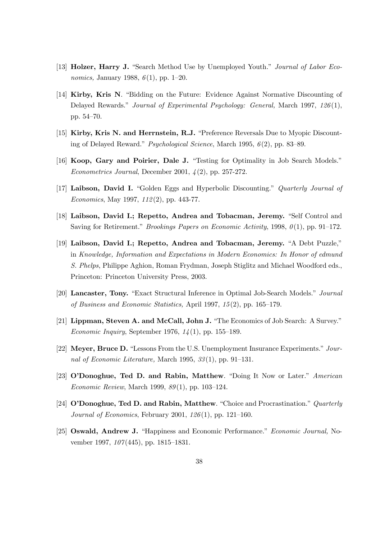- [13] **Holzer, Harry J.** "Search Method Use by Unemployed Youth." *Journal of Labor Economics*, January 1988,  $6(1)$ , pp. 1–20.
- [14] Kirby, Kris N. "Bidding on the Future: Evidence Against Normative Discounting of Delayed Rewards." Journal of Experimental Psychology: General, March 1997, 126(1), pp. 54—70.
- [15] Kirby, Kris N. and Herrnstein, R.J. "Preference Reversals Due to Myopic Discounting of Delayed Reward." Psychological Science, March 1995, 6 (2), pp. 83—89.
- [16] Koop, Gary and Poirier, Dale J. "Testing for Optimality in Job Search Models." Econometrics Journal, December 2001,  $\lambda(2)$ , pp. 257-272.
- [17] Laibson, David I. "Golden Eggs and Hyperbolic Discounting." Quarterly Journal of Economics, May 1997, 112 (2), pp. 443-77.
- [18] Laibson, David I.; Repetto, Andrea and Tobacman, Jeremy. "Self Control and Saving for Retirement." Brookings Papers on Economic Activity, 1998,  $\theta(1)$ , pp. 91–172.
- [19] Laibson, David I.; Repetto, Andrea and Tobacman, Jeremy. "A Debt Puzzle," in Knowledge, Information and Expectations in Modern Economics: In Honor of edmund S. Phelps, Philippe Aghion, Roman Frydman, Joseph Stiglitz and Michael Woodford eds., Princeton: Princeton University Press, 2003.
- [20] Lancaster, Tony. "Exact Structural Inference in Optimal Job-Search Models." Journal of Business and Economic Statistics, April 1997, 15 (2), pp. 165—179.
- [21] Lippman, Steven A. and McCall, John J. "The Economics of Job Search: A Survey." Economic Inquiry, September 1976,  $14(1)$ , pp. 155–189.
- [22] Meyer, Bruce D. "Lessons From the U.S. Unemployment Insurance Experiments." Journal of Economic Literature, March 1995, 33 (1), pp. 91—131.
- [23] O'Donoghue, Ted D. and Rabin, Matthew. "Doing It Now or Later." American Economic Review, March 1999, 89 (1), pp. 103—124.
- [24] O'Donoghue, Ted D. and Rabin, Matthew. "Choice and Procrastination." Quarterly Journal of Economics, February 2001, 126 (1), pp. 121—160.
- [25] Oswald, Andrew J. "Happiness and Economic Performance." Economic Journal, November 1997,  $107(445)$ , pp. 1815–1831.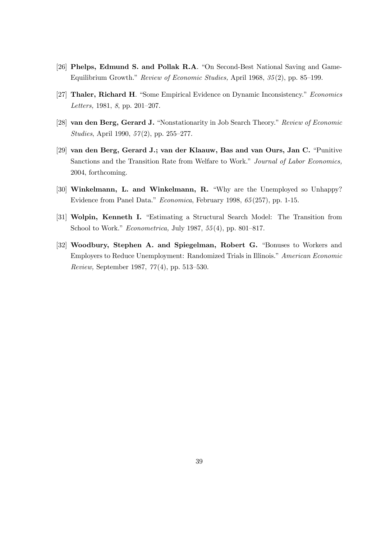- [26] Phelps, Edmund S. and Pollak R.A. "On Second-Best National Saving and Game-Equilibrium Growth." Review of Economic Studies, April 1968, 35 (2), pp. 85—199.
- [27] Thaler, Richard H. "Some Empirical Evidence on Dynamic Inconsistency." Economics Letters, 1981, 8, pp. 201—207.
- [28] van den Berg, Gerard J. "Nonstationarity in Job Search Theory." Review of Economic Studies, April 1990, 57(2), pp. 255-277.
- [29] van den Berg, Gerard J.; van der Klaauw, Bas and van Ours, Jan C. "Punitive Sanctions and the Transition Rate from Welfare to Work." Journal of Labor Economics, 2004, forthcoming.
- [30] Winkelmann, L. and Winkelmann, R. "Why are the Unemployed so Unhappy? Evidence from Panel Data." Economica, February 1998, 65 (257), pp. 1-15.
- [31] Wolpin, Kenneth I. "Estimating a Structural Search Model: The Transition from School to Work." Econometrica, July 1987, 55 (4), pp. 801—817.
- [32] Woodbury, Stephen A. and Spiegelman, Robert G. "Bonuses to Workers and Employers to Reduce Unemployment: Randomized Trials in Illinois." American Economic Review, September 1987, 77 (4), pp. 513—530.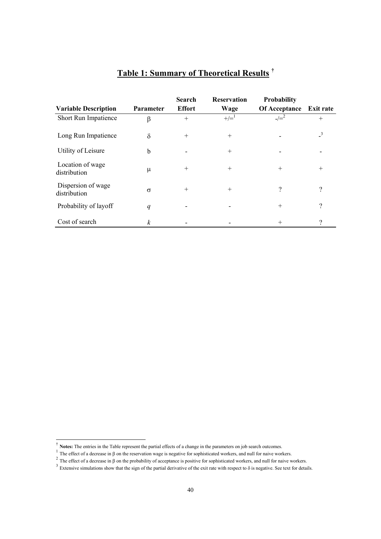|                                    |                  | <b>Search</b> | <b>Reservation</b> | Probability   |                  |
|------------------------------------|------------------|---------------|--------------------|---------------|------------------|
| <b>Variable Description</b>        | <b>Parameter</b> | <b>Effort</b> | Wage               | Of Acceptance | <b>Exit rate</b> |
| Short Run Impatience               | β                | $^{+}$        | $+/-^1$            | $-/-^2$       | $^{+}$           |
| Long Run Impatience                | $\delta$         | $+$           | $^{+}$             |               | $\overline{3}$   |
| Utility of Leisure                 | $\mathbf b$      |               | $^{+}$             |               |                  |
| Location of wage<br>distribution   | $\mu$            | $^{+}$        | $^{+}$             | $^{+}$        | $^{+}$           |
| Dispersion of wage<br>distribution | $\sigma$         | $^{+}$        | $^{+}$             | ?             | $\gamma$         |
| Probability of layoff              | q                |               |                    | $^{+}$        | ?                |
| Cost of search                     | $\boldsymbol{k}$ |               |                    | $^{+}$        | ?                |

## **Table 1: Summary of Theoretical Results †**

 $\overline{a}$ 

<sup>&</sup>lt;sup>†</sup> Notes: The entries in the Table represent the partial effects of a change in the parameters on job search outcomes.<br><sup>1</sup> The effect of a decrease in  $\beta$  on the reservation wage is negative for sophisticated workers, a

<sup>&</sup>lt;sup>2</sup> The effect of a decrease in β on the probability of acceptance is positive for sophisticated workers, and null for naive workers.

<sup>&</sup>lt;sup>3</sup> Extensive simulations show that the sign of the partial derivative of the exit rate with respect to  $\delta$  is negative. See text for details.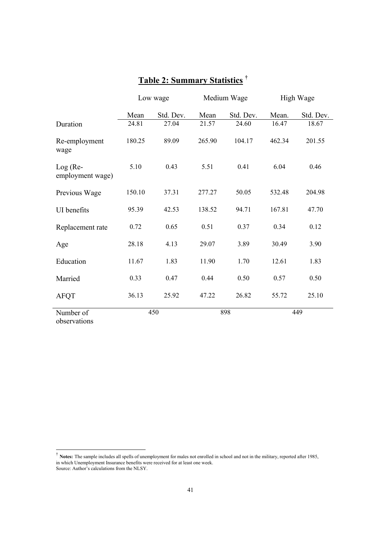|                              |        | Low wage  |        | Medium Wage | High Wage |           |  |
|------------------------------|--------|-----------|--------|-------------|-----------|-----------|--|
|                              | Mean   | Std. Dev. | Mean   | Std. Dev.   | Mean.     | Std. Dev. |  |
| Duration                     | 24.81  | 27.04     | 21.57  | 24.60       | 16.47     | 18.67     |  |
| Re-employment<br>wage        | 180.25 | 89.09     | 265.90 | 104.17      | 462.34    | 201.55    |  |
| Log (Re-<br>employment wage) | 5.10   | 0.43      | 5.51   | 0.41        | 6.04      | 0.46      |  |
| Previous Wage                | 150.10 | 37.31     | 277.27 | 50.05       | 532.48    | 204.98    |  |
| UI benefits                  | 95.39  | 42.53     | 138.52 | 94.71       | 167.81    | 47.70     |  |
| Replacement rate             | 0.72   | 0.65      | 0.51   | 0.37        | 0.34      | 0.12      |  |
| Age                          | 28.18  | 4.13      | 29.07  | 3.89        | 30.49     | 3.90      |  |
| Education                    | 11.67  | 1.83      | 11.90  | 1.70        | 12.61     | 1.83      |  |
| Married                      | 0.33   | 0.47      | 0.44   | 0.50        | 0.57      | 0.50      |  |
| <b>AFQT</b>                  | 36.13  | 25.92     | 47.22  | 26.82       | 55.72     | 25.10     |  |
| Number of<br>observations    |        | 450       |        | 898         |           | 449       |  |

## **Table 2: Summary Statistics †**

† **Notes:** The sample includes all spells of unemployment for males not enrolled in school and not in the military, reported after 1985, in which Unemployment Insurance benefits were received for at least one week. Source: Author's calculations from the NLSY.

l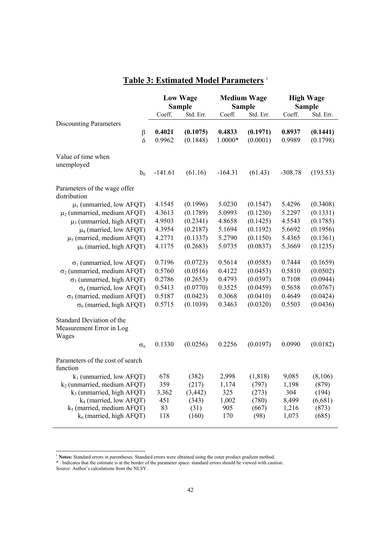## **Table 3: Estimated Model Parameters** †

|                                                                | <b>Low Wage</b><br><b>Sample</b> |                      |                   | <b>Medium Wage</b><br><b>Sample</b> | <b>High Wage</b><br><b>Sample</b> |                      |  |
|----------------------------------------------------------------|----------------------------------|----------------------|-------------------|-------------------------------------|-----------------------------------|----------------------|--|
|                                                                | Coeff.                           | Std. Err.            | Coeff.            | Std. Err.                           | Coeff.                            | Std. Err.            |  |
| <b>Discounting Parameters</b>                                  |                                  |                      |                   |                                     |                                   |                      |  |
| $\beta$<br>$\delta$                                            | 0.4021<br>0.9962                 | (0.1075)<br>(0.1848) | 0.4833<br>1.0000* | (0.1971)<br>(0.0001)                | 0.8937<br>0.9989                  | (0.1441)<br>(0.1798) |  |
|                                                                |                                  |                      |                   |                                     |                                   |                      |  |
| Value of time when                                             |                                  |                      |                   |                                     |                                   |                      |  |
| unemployed                                                     |                                  |                      |                   |                                     |                                   |                      |  |
| $b_0$                                                          | $-141.61$                        | (61.16)              | $-164.31$         | (61.43)                             | $-308.78$                         | (193.53)             |  |
| Parameters of the wage offer                                   |                                  |                      |                   |                                     |                                   |                      |  |
| distribution                                                   |                                  |                      |                   |                                     |                                   |                      |  |
| $\mu_1$ (unmarried, low AFQT)                                  | 4.1545                           | (0.1996)             | 5.0230            | (0.1547)                            | 5.4296                            | (0.3408)             |  |
| $\mu_2$ (unmarried, medium AFQT)                               | 4.3613                           | (0.1789)             | 5.0993            | (0.1230)                            | 5.2297                            | (0.1331)             |  |
| $\mu_3$ (unmarried, high AFQT)                                 | 4.9503                           | (0.2341)             | 4.8658            | (0.1425)                            | 4.5543                            | (0.1785)             |  |
| $\mu$ <sub>4</sub> (married, low AFQT)                         | 4.3954                           | (0.2187)             | 5.1694            | (0.1192)                            | 5.6692                            | (0.1956)             |  |
| $\mu$ <sub>5</sub> (married, medium AFQT)                      | 4.2771                           | (0.1337)             | 5.2790            | (0.1150)                            | 5.4365                            | (0.1361)             |  |
| $\mu$ <sub>6</sub> (married, high AFQT)                        | 4.1175                           | (0.2683)             | 5.0735            | (0.0837)                            | 5.3669                            | (0.1235)             |  |
|                                                                |                                  |                      |                   |                                     |                                   |                      |  |
| $\sigma_1$ (unmarried, low AFQT)                               | 0.7196                           | (0.0723)             | 0.5614            | (0.0585)                            | 0.7444                            | (0.1659)             |  |
| $\sigma_2$ (unmarried, medium AFQT)                            | 0.5760                           | (0.0516)             | 0.4122            | (0.0453)                            | 0.5810                            | (0.0502)             |  |
| $\sigma_3$ (unmarried, high AFQT)                              | 0.2786                           | (0.2653)             | 0.4793            | (0.0397)                            | 0.7108                            | (0.0944)             |  |
| $\sigma_4$ (married, low AFQT)                                 | 0.5413                           | (0.0770)             | 0.3525            | (0.0459)                            | 0.5658                            | (0.0767)             |  |
| $\sigma_5$ (married, medium AFQT)                              | 0.5187                           | (0.0423)             | 0.3068            | (0.0410)                            | 0.4649                            | (0.0424)             |  |
| $\sigma_6$ (married, high AFQT)                                | 0.5715                           | (0.1039)             | 0.3463            | (0.0320)                            | 0.5503                            | (0.0436)             |  |
| Standard Deviation of the<br>Measurement Error in Log<br>Wages |                                  |                      |                   |                                     |                                   |                      |  |
| $\sigma_{\rm n}$                                               | 0.1330                           | (0.0256)             | 0.2256            | (0.0197)                            | 0.0990                            | (0.0182)             |  |
| Parameters of the cost of search<br>function                   |                                  |                      |                   |                                     |                                   |                      |  |
| $k_1$ (unmarried, low AFQT)                                    | 678                              | (382)                | 2,998             | (1, 818)                            | 9,085                             | (8,106)              |  |
| $k_2$ (unmarried, medium AFQT)                                 | 359                              | (217)                | 1,174             | (797)                               | 1,198                             | (879)                |  |
| $k_3$ (unmarried, high AFQT)<br>$k_4$ (married, low AFQT)      | 3,362<br>451                     | (3, 442)             | 325<br>1,002      | (273)                               | 304<br>8,499                      | (194)                |  |
| $k_5$ (married, medium AFQT)                                   | 83                               | (343)<br>(31)        | 905               | (780)<br>(667)                      | 1,216                             | (6,681)<br>(873)     |  |
| $k_6$ (married, high AFQT)                                     | 118                              | (160)                | 170               | (98)                                | 1,073                             | (685)                |  |
|                                                                |                                  |                      |                   |                                     |                                   |                      |  |

l

<sup>†</sup> **Notes:** Standard errors in parentheses. Standard errors were obtained using the outer product gradient method.

<sup>\* :</sup> Indicates that the estimate is at the border of the parameter space: standard errors should be viewed with caution.

Source: Author's calculations from the NLSY.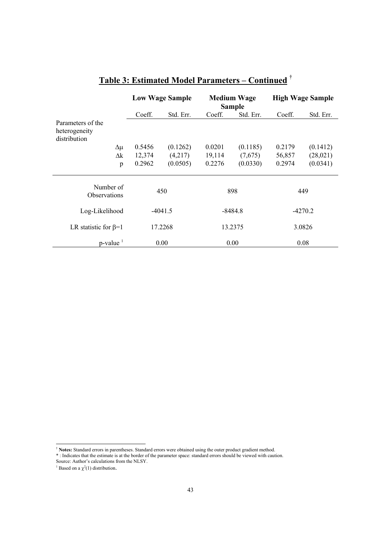|                                                    |        | <b>Low Wage Sample</b> |        | <b>Medium Wage</b><br><b>Sample</b> | <b>High Wage Sample</b> |           |  |
|----------------------------------------------------|--------|------------------------|--------|-------------------------------------|-------------------------|-----------|--|
|                                                    | Coeff. | Std. Err.              | Coeff. | Std. Err.                           | Coeff.                  | Std. Err. |  |
| Parameters of the<br>heterogeneity<br>distribution |        |                        |        |                                     |                         |           |  |
| $\Delta \mu$                                       | 0.5456 | (0.1262)               | 0.0201 | (0.1185)                            | 0.2179                  | (0.1412)  |  |
| $\Delta k$                                         | 12,374 | (4,217)                | 19,114 | (7,675)                             | 56,857                  | (28,021)  |  |
| p                                                  | 0.2962 | (0.0505)               | 0.2276 | (0.0330)                            | 0.2974                  | (0.0341)  |  |
| Number of<br><b>Observations</b>                   | 450    |                        | 898    |                                     | 449                     |           |  |
| Log-Likelihood                                     |        | $-4041.5$              |        | $-8484.8$                           |                         | $-4270.2$ |  |
| LR statistic for $\beta=1$                         |        | 17.2268                |        | 13.2375                             |                         | 3.0826    |  |
| p-value                                            |        | 0.00                   | 0.00   |                                     | 0.08                    |           |  |

## **Table 3: Estimated Model Parameters – Continued** †

† **Notes:** Standard errors in parentheses. Standard errors were obtained using the outer product gradient method.

 $\overline{a}$ 

l.

l,

<sup>\* :</sup> Indicates that the estimate is at the border of the parameter space: standard errors should be viewed with caution. Source: Author's calculations from the NLSY.

<sup>&</sup>lt;sup>1</sup> Based on a  $\chi^2(1)$  distribution.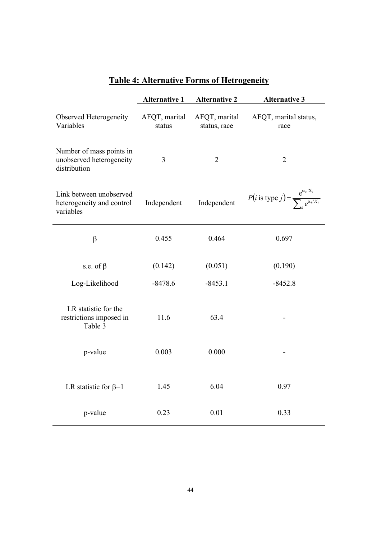|                                                                      | <b>Alternative 1</b>    | <b>Alternative 2</b>          | <b>Alternative 3</b>                                                           |  |
|----------------------------------------------------------------------|-------------------------|-------------------------------|--------------------------------------------------------------------------------|--|
| Observed Heterogeneity<br>Variables                                  | AFQT, marital<br>status | AFQT, marital<br>status, race | AFQT, marital status,<br>race                                                  |  |
| Number of mass points in<br>unobserved heterogeneity<br>distribution | 3                       | $\overline{2}$                | $\overline{2}$                                                                 |  |
| Link between unobserved<br>heterogeneity and control<br>variables    | Independent             |                               | $P(i \text{ is type } j) = \frac{e^{\alpha_k X_i}}{\sum_{i} e^{\alpha_k X_i}}$ |  |
| $\beta$                                                              | 0.455                   | 0.464                         | 0.697                                                                          |  |
| s.e. of $\beta$                                                      | (0.142)                 | (0.051)                       | (0.190)                                                                        |  |
| Log-Likelihood                                                       | $-8478.6$<br>$-8453.1$  |                               | $-8452.8$                                                                      |  |
| LR statistic for the<br>restrictions imposed in<br>Table 3           | 11.6                    | 63.4                          |                                                                                |  |
| p-value                                                              | 0.003                   | 0.000                         |                                                                                |  |
| LR statistic for $\beta=1$                                           | 1.45                    | 6.04                          | 0.97                                                                           |  |
| p-value                                                              | 0.23                    | 0.01                          | 0.33                                                                           |  |

## **Table 4: Alternative Forms of Hetrogeneity**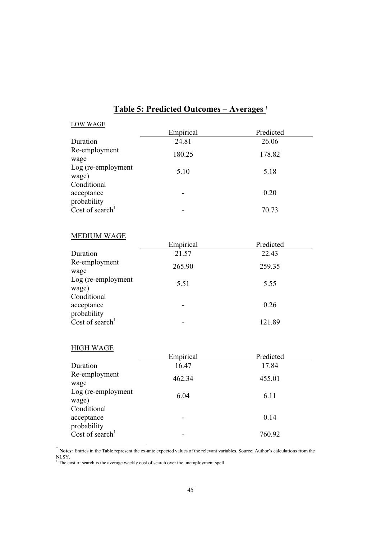| <b>LOW WAGE</b>                          |           |           |
|------------------------------------------|-----------|-----------|
|                                          | Empirical | Predicted |
| Duration                                 | 24.81     | 26.06     |
| Re-employment<br>wage                    | 180.25    | 178.82    |
| Log (re-employment<br>wage)              | 5.10      | 5.18      |
| Conditional<br>acceptance<br>probability |           | 0.20      |
| Cost of search <sup>1</sup>              |           | 70.73     |

## **Table 5: Predicted Outcomes – Averages** †

#### MEDIUM WAGE

|                             | Empirical | Predicted |  |
|-----------------------------|-----------|-----------|--|
| Duration                    | 21.57     | 22.43     |  |
| Re-employment               | 265.90    | 259.35    |  |
| wage                        |           |           |  |
| Log (re-employment          | 5.51      | 5.55      |  |
| wage)                       |           |           |  |
| Conditional                 |           |           |  |
| acceptance                  |           | 0.26      |  |
| probability                 |           |           |  |
| Cost of search <sup>1</sup> |           | 121.89    |  |

#### HIGH WAGE

 $\overline{a}$ 

|                             | Empirical | Predicted |  |
|-----------------------------|-----------|-----------|--|
| Duration                    | 16.47     | 17.84     |  |
| Re-employment               | 462.34    | 455.01    |  |
| wage                        |           |           |  |
| Log (re-employment          | 6.04      | 6.11      |  |
| wage)                       |           |           |  |
| Conditional                 |           |           |  |
| acceptance                  |           | 0.14      |  |
| probability                 |           |           |  |
| Cost of search <sup>1</sup> |           | 760.92    |  |

† **Notes:** Entries in the Table represent the ex-ante expected values of the relevant variables. Source: Author's calculations from the

NLSY. 1 The cost of search is the average weekly cost of search over the unemployment spell.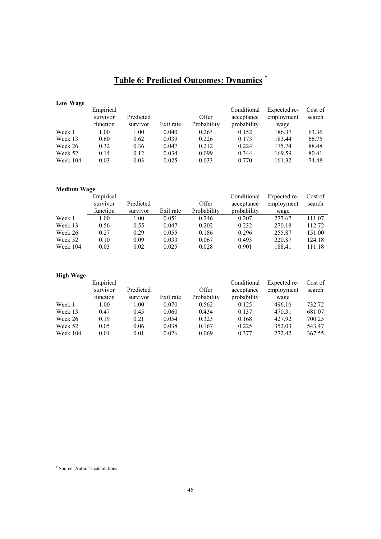## **Table 6: Predicted Outcomes: Dynamics †**

#### **Low Wage**

|          | Empirical |           |           |             | Conditional | Expected re- | Cost of |
|----------|-----------|-----------|-----------|-------------|-------------|--------------|---------|
|          | survivor  | Predicted |           | Offer       | acceptance  | employment   | search  |
|          | function  | survivor  | Exit rate | Probability | probability | wage         |         |
| Week 1   | 1.00      | 1.00      | 0.040     | 0.263       | 0.152       | 186.37       | 63.36   |
| Week 13  | 0.60      | 0.62      | 0.039     | 0.226       | 0.173       | 183.44       | 66.75   |
| Week 26  | 0.32      | 0.36      | 0.047     | 0.212       | 0.224       | 175.74       | 88.48   |
| Week 52  | 0.14      | 0.12      | 0.034     | 0.099       | 0.344       | 169.59       | 80.41   |
| Week 104 | 0.03      | 0.03      | 0.025     | 0.033       | 0.770       | 161.32       | 74.48   |

#### **Medium Wage**

| Empirical |           |           |             | Conditional | Expected re- | Cost of |
|-----------|-----------|-----------|-------------|-------------|--------------|---------|
| survivor  | Predicted |           | Offer       | acceptance  | employment   | search  |
| function  | survivor  | Exit rate | Probability | probability | wage         |         |
| 1.00      | 1.00      | 0.051     | 0.246       | 0.207       | 277.67       | 111.07  |
| 0.56      | 0.55      | 0.047     | 0.202       | 0.232       | 270.18       | 112.72  |
| 0.27      | 0.29      | 0.055     | 0.186       | 0.296       | 255.87       | 151.00  |
| 0.10      | 0.09      | 0.033     | 0.067       | 0.493       | 220.87       | 124.18  |
| 0.03      | 0.02      | 0.025     | 0.028       | 0.901       | 188.41       | 111.18  |
|           |           |           |             |             |              |         |

#### **High Wage**

|          | Empirical |           |           |             | Conditional | Expected re- | Cost of |
|----------|-----------|-----------|-----------|-------------|-------------|--------------|---------|
|          | survivor  | Predicted |           | Offer       | acceptance  | employment   | search  |
|          | function  | survivor  | Exit rate | Probability | probability | wage         |         |
| Week 1   | 1.00      | 1.00      | 0.070     | 0.562       | 0.125       | 496.16       | 732.72  |
| Week 13  | 0.47      | 0.45      | 0.060     | 0.434       | 0.137       | 470.31       | 681.07  |
| Week 26  | 0.19      | 0.21      | 0.054     | 0.323       | 0.168       | 427.92       | 700.25  |
| Week 52  | 0.05      | 0.06      | 0.038     | 0.167       | 0.225       | 352.03       | 543.47  |
| Week 104 | 0.01      | 0.01      | 0.026     | 0.069       | 0.377       | 272.42       | 367.55  |

l

<sup>†</sup> Source: Author's calculations.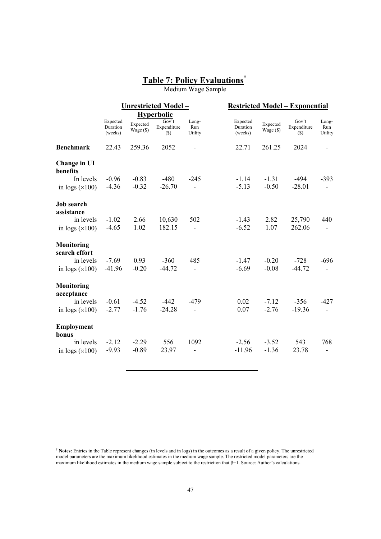### **Table 7: Policy Evaluations†**

Medium Wage Sample

|                                    |                                 |                       | Unrestricted Model-            |                          |                                 |                       | <b>Restricted Model - Exponential</b> |                          |  |
|------------------------------------|---------------------------------|-----------------------|--------------------------------|--------------------------|---------------------------------|-----------------------|---------------------------------------|--------------------------|--|
|                                    |                                 |                       | <b>Hyperbolic</b>              |                          |                                 |                       |                                       |                          |  |
|                                    | Expected<br>Duration<br>(weeks) | Expected<br>Wage (\$) | Gov't<br>Expenditure<br>$($ \$ | Long-<br>Run<br>Utility  | Expected<br>Duration<br>(weeks) | Expected<br>Wage (\$) | Gov't<br>Expenditure<br>$($ \$        | Long-<br>Run<br>Utility  |  |
| <b>Benchmark</b>                   | 22.43                           | 259.36                | 2052                           |                          | 22.71                           | 261.25                | 2024                                  |                          |  |
| Change in UI<br>benefits           |                                 |                       |                                |                          |                                 |                       |                                       |                          |  |
| In levels                          | $-0.96$                         | $-0.83$               | $-480$                         | $-245$                   | $-1.14$                         | $-1.31$               | -494                                  | $-393$                   |  |
| in logs $(\times 100)$             | $-4.36$                         | $-0.32$               | $-26.70$                       | L.                       | $-5.13$                         | $-0.50$               | $-28.01$                              |                          |  |
| <b>Job</b> search<br>assistance    |                                 |                       |                                |                          |                                 |                       |                                       |                          |  |
| in levels                          | $-1.02$                         | 2.66                  | 10,630                         | 502                      | $-1.43$                         | 2.82                  | 25,790                                | 440                      |  |
| in logs $(\times 100)$             | $-4.65$                         | 1.02                  | 182.15                         | $\overline{\phantom{0}}$ | $-6.52$                         | 1.07                  | 262.06                                |                          |  |
| <b>Monitoring</b><br>search effort |                                 |                       |                                |                          |                                 |                       |                                       |                          |  |
| in levels                          | $-7.69$                         | 0.93                  | $-360$                         | 485                      | $-1.47$                         | $-0.20$               | $-728$                                | $-696$                   |  |
| in logs $(\times 100)$             | $-41.96$                        | $-0.20$               | $-44.72$                       | $\overline{\phantom{0}}$ | $-6.69$                         | $-0.08$               | $-44.72$                              | $\overline{\phantom{a}}$ |  |
| <b>Monitoring</b><br>acceptance    |                                 |                       |                                |                          |                                 |                       |                                       |                          |  |
| in levels                          | $-0.61$                         | $-4.52$               | $-442$                         | $-479$                   | 0.02                            | $-7.12$               | $-356$                                | $-427$                   |  |
| in logs $(\times 100)$             | $-2.77$                         | $-1.76$               | $-24.28$                       |                          | 0.07                            | $-2.76$               | $-19.36$                              |                          |  |
| <b>Employment</b><br>bonus         |                                 |                       |                                |                          |                                 |                       |                                       |                          |  |
| in levels                          | $-2.12$                         | $-2.29$               | 556                            | 1092                     | $-2.56$                         | $-3.52$               | 543                                   | 768                      |  |
| in logs $(\times 100)$             | $-9.93$                         | $-0.89$               | 23.97                          |                          | $-11.96$                        | $-1.36$               | 23.78                                 |                          |  |

 $\overline{a}$ 

<sup>†</sup> **Notes:** Entries in the Table represent changes (in levels and in logs) in the outcomes as a result of a given policy. The unrestricted model parameters are the maximum likelihood estimates in the medium wage sample. The restricted model parameters are the maximum likelihood estimates in the medium wage sample subject to the restriction that β=1. Source: Author's calculations.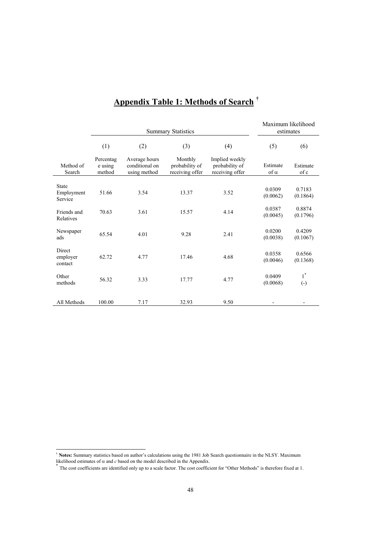|                                       | <b>Summary Statistics</b>      |                                                 |                                              |                                                     | Maximum likelihood<br>estimates |                            |
|---------------------------------------|--------------------------------|-------------------------------------------------|----------------------------------------------|-----------------------------------------------------|---------------------------------|----------------------------|
|                                       | (1)                            | (2)                                             | (3)                                          | (4)                                                 | (5)                             | (6)                        |
| Method of<br>Search                   | Percentag<br>e using<br>method | Average hours<br>conditional on<br>using method | Monthly<br>probability of<br>receiving offer | Implied weekly<br>probability of<br>receiving offer | Estimate<br>$of \alpha$         | Estimate<br>of c           |
| <b>State</b><br>Employment<br>Service | 51.66                          | 3.54                                            | 13.37                                        | 3.52                                                | 0.0309<br>(0.0062)              | 0.7183<br>(0.1864)         |
| Friends and<br>Relatives              | 70.63                          | 3.61                                            | 15.57                                        | 4.14                                                | 0.0387<br>(0.0045)              | 0.8874<br>(0.1796)         |
| Newspaper<br>ads                      | 65.54                          | 4.01                                            | 9.28                                         | 2.41                                                | 0.0200<br>(0.0038)              | 0.4209<br>(0.1067)         |
| Direct<br>employer<br>contact         | 62.72                          | 4.77                                            | 17.46                                        | 4.68                                                | 0.0358<br>(0.0046)              | 0.6566<br>(0.1368)         |
| Other<br>methods                      | 56.32                          | 3.33                                            | 17.77                                        | 4.77                                                | 0.0409<br>(0.0068)              | $1^*$<br>$\left( -\right)$ |
| All Methods                           | 100.00                         | 7.17                                            | 32.93                                        | 9.50                                                |                                 |                            |

## **Appendix Table 1: Methods of Search †**

† **Notes:** Summary statistics based on author's calculations using the 1981 Job Search questionnaire in the NLSY. Maximum

 $\overline{a}$ 

<sup>&</sup>lt;sup>\*</sup> The cost coefficients are identified only up to a scale factor. The cost coefficient for "Other Methods" is therefore fixed at 1.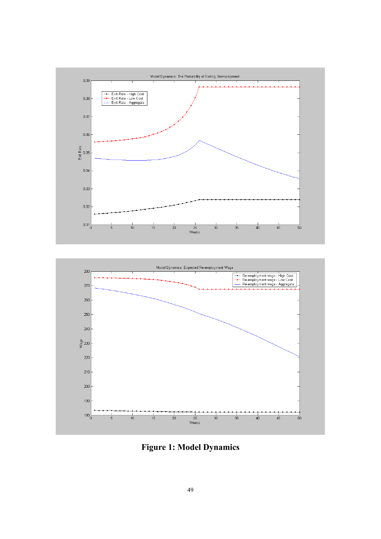

**Figure 1: Model Dynamics**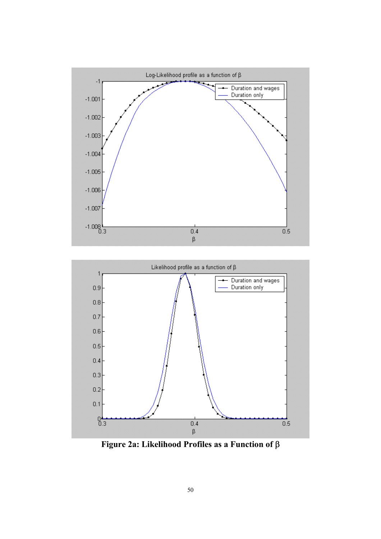



**Figure 2a: Likelihood Profiles as a Function of** β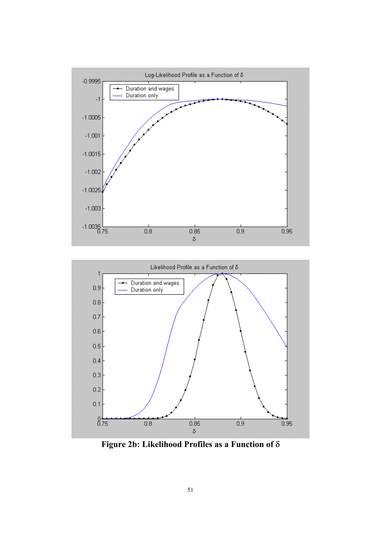



**Figure 2b: Likelihood Profiles as a Function of** δ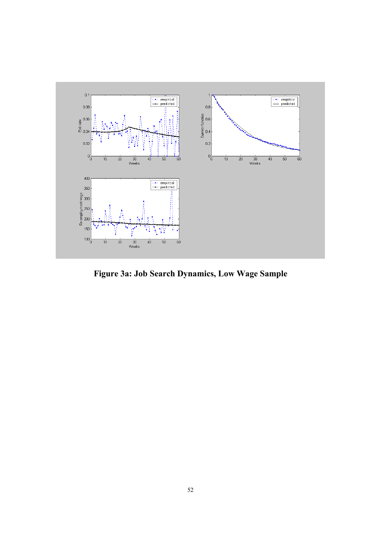

**Figure 3a: Job Search Dynamics, Low Wage Sample**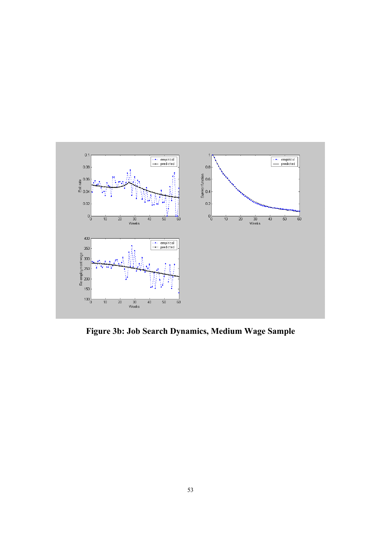

**Figure 3b: Job Search Dynamics, Medium Wage Sample**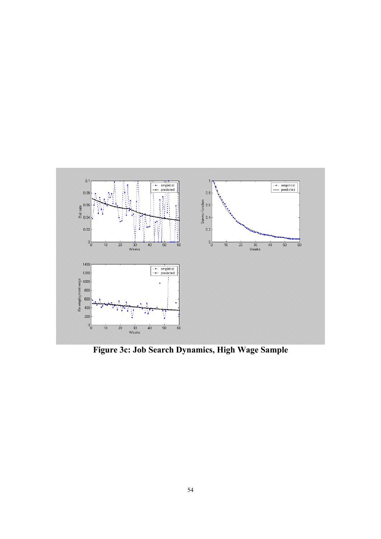

**Figure 3c: Job Search Dynamics, High Wage Sample**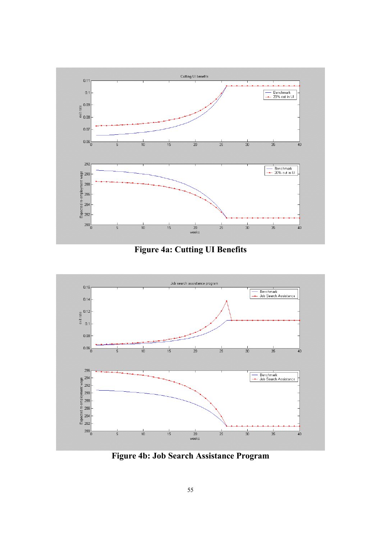

**Figure 4a: Cutting UI Benefits** 



**Figure 4b: Job Search Assistance Program**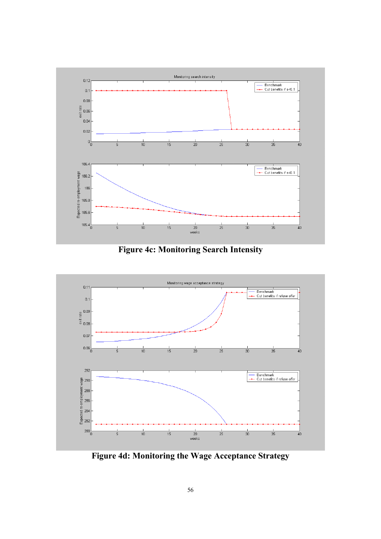

**Figure 4c: Monitoring Search Intensity** 



**Figure 4d: Monitoring the Wage Acceptance Strategy**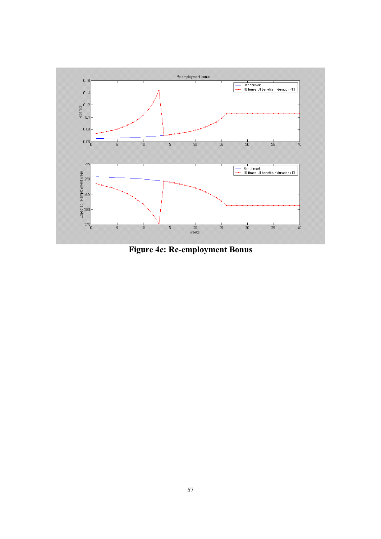

**Figure 4e: Re-employment Bonus**